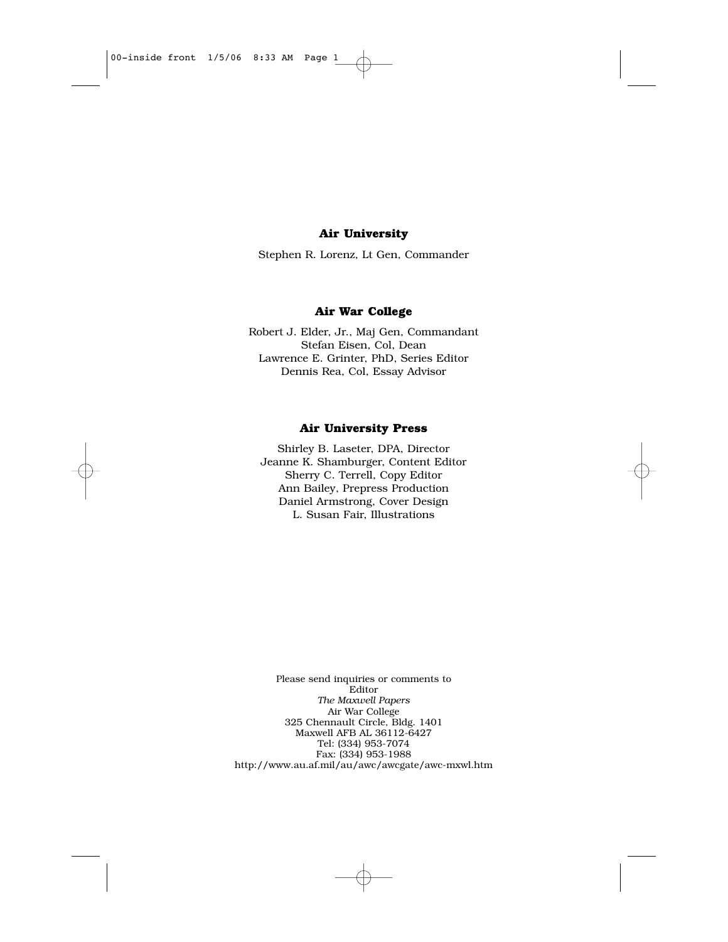#### **Air University**

Stephen R. Lorenz, Lt Gen, Commander

#### **Air War College**

Robert J. Elder, Jr., Maj Gen, Commandant Stefan Eisen, Col, Dean Lawrence E. Grinter, PhD, Series Editor Dennis Rea, Col, Essay Advisor

#### **Air University Press**

Shirley B. Laseter, DPA, Director Jeanne K. Shamburger, Content Editor Sherry C. Terrell, Copy Editor Ann Bailey, Prepress Production Daniel Armstrong, Cover Design L. Susan Fair, Illustrations

Please send inquiries or comments to Editor *The Maxwell Papers* Air War College 325 Chennault Circle, Bldg. 1401 Maxwell AFB AL 36112-6427 Tel: (334) 953-7074 Fax: (334) 953-1988 http://www.au.af.mil/au/awc/awcgate/awc-mxwl.htm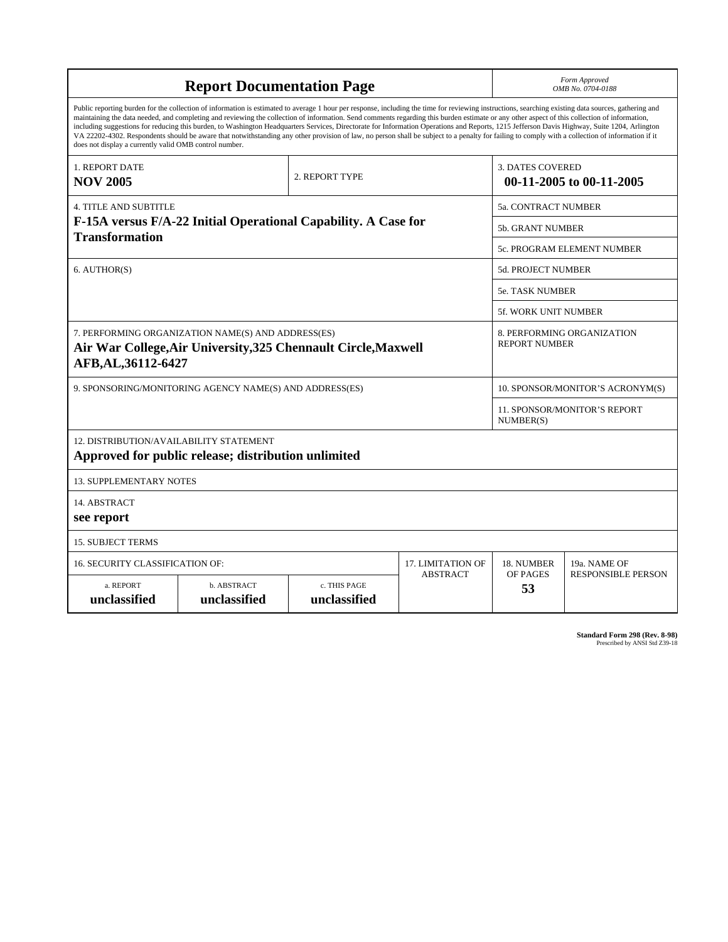| <b>Report Documentation Page</b>                                                                                                                                                                                                                                                                                                                                                                                                                                                                                                                                                                                                                                                                                                                                                                                                                                   |                             |                              |                                           | Form Approved<br>OMB No. 0704-0188                 |                             |  |  |
|--------------------------------------------------------------------------------------------------------------------------------------------------------------------------------------------------------------------------------------------------------------------------------------------------------------------------------------------------------------------------------------------------------------------------------------------------------------------------------------------------------------------------------------------------------------------------------------------------------------------------------------------------------------------------------------------------------------------------------------------------------------------------------------------------------------------------------------------------------------------|-----------------------------|------------------------------|-------------------------------------------|----------------------------------------------------|-----------------------------|--|--|
| Public reporting burden for the collection of information is estimated to average 1 hour per response, including the time for reviewing instructions, searching existing data sources, gathering and<br>maintaining the data needed, and completing and reviewing the collection of information. Send comments regarding this burden estimate or any other aspect of this collection of information,<br>including suggestions for reducing this burden, to Washington Headquarters Services, Directorate for Information Operations and Reports, 1215 Jefferson Davis Highway, Suite 1204, Arlington<br>VA 22202-4302. Respondents should be aware that notwithstanding any other provision of law, no person shall be subject to a penalty for failing to comply with a collection of information if it<br>does not display a currently valid OMB control number. |                             |                              |                                           |                                                    |                             |  |  |
| 1. REPORT DATE<br><b>NOV 2005</b>                                                                                                                                                                                                                                                                                                                                                                                                                                                                                                                                                                                                                                                                                                                                                                                                                                  |                             | 2. REPORT TYPE               |                                           | <b>3. DATES COVERED</b>                            | 00-11-2005 to 00-11-2005    |  |  |
| <b>4. TITLE AND SUBTITLE</b>                                                                                                                                                                                                                                                                                                                                                                                                                                                                                                                                                                                                                                                                                                                                                                                                                                       |                             |                              | <b>5a. CONTRACT NUMBER</b>                |                                                    |                             |  |  |
| F-15A versus F/A-22 Initial Operational Capability. A Case for                                                                                                                                                                                                                                                                                                                                                                                                                                                                                                                                                                                                                                                                                                                                                                                                     |                             |                              |                                           | 5b. GRANT NUMBER                                   |                             |  |  |
| <b>Transformation</b>                                                                                                                                                                                                                                                                                                                                                                                                                                                                                                                                                                                                                                                                                                                                                                                                                                              |                             |                              |                                           | 5c. PROGRAM ELEMENT NUMBER                         |                             |  |  |
| 6. AUTHOR(S)                                                                                                                                                                                                                                                                                                                                                                                                                                                                                                                                                                                                                                                                                                                                                                                                                                                       |                             |                              | <b>5d. PROJECT NUMBER</b>                 |                                                    |                             |  |  |
|                                                                                                                                                                                                                                                                                                                                                                                                                                                                                                                                                                                                                                                                                                                                                                                                                                                                    |                             |                              |                                           |                                                    | <b>5e. TASK NUMBER</b>      |  |  |
|                                                                                                                                                                                                                                                                                                                                                                                                                                                                                                                                                                                                                                                                                                                                                                                                                                                                    |                             |                              |                                           |                                                    | <b>5f. WORK UNIT NUMBER</b> |  |  |
| 7. PERFORMING ORGANIZATION NAME(S) AND ADDRESS(ES)<br>Air War College, Air University, 325 Chennault Circle, Maxwell<br>AFB, AL, 36112-6427                                                                                                                                                                                                                                                                                                                                                                                                                                                                                                                                                                                                                                                                                                                        |                             |                              |                                           | 8. PERFORMING ORGANIZATION<br><b>REPORT NUMBER</b> |                             |  |  |
| 9. SPONSORING/MONITORING AGENCY NAME(S) AND ADDRESS(ES)                                                                                                                                                                                                                                                                                                                                                                                                                                                                                                                                                                                                                                                                                                                                                                                                            |                             |                              | 10. SPONSOR/MONITOR'S ACRONYM(S)          |                                                    |                             |  |  |
|                                                                                                                                                                                                                                                                                                                                                                                                                                                                                                                                                                                                                                                                                                                                                                                                                                                                    |                             |                              | 11. SPONSOR/MONITOR'S REPORT<br>NUMBER(S) |                                                    |                             |  |  |
| 12. DISTRIBUTION/AVAILABILITY STATEMENT<br>Approved for public release; distribution unlimited                                                                                                                                                                                                                                                                                                                                                                                                                                                                                                                                                                                                                                                                                                                                                                     |                             |                              |                                           |                                                    |                             |  |  |
| <b>13. SUPPLEMENTARY NOTES</b>                                                                                                                                                                                                                                                                                                                                                                                                                                                                                                                                                                                                                                                                                                                                                                                                                                     |                             |                              |                                           |                                                    |                             |  |  |
| 14. ABSTRACT<br>see report                                                                                                                                                                                                                                                                                                                                                                                                                                                                                                                                                                                                                                                                                                                                                                                                                                         |                             |                              |                                           |                                                    |                             |  |  |
| <b>15. SUBJECT TERMS</b>                                                                                                                                                                                                                                                                                                                                                                                                                                                                                                                                                                                                                                                                                                                                                                                                                                           |                             |                              |                                           |                                                    |                             |  |  |
| <b>16. SECURITY CLASSIFICATION OF:</b>                                                                                                                                                                                                                                                                                                                                                                                                                                                                                                                                                                                                                                                                                                                                                                                                                             |                             |                              | <b>17. LIMITATION OF</b>                  | 18. NUMBER                                         | 19a. NAME OF                |  |  |
| a. REPORT<br>unclassified                                                                                                                                                                                                                                                                                                                                                                                                                                                                                                                                                                                                                                                                                                                                                                                                                                          | b. ABSTRACT<br>unclassified | c. THIS PAGE<br>unclassified | <b>ABSTRACT</b>                           | OF PAGES<br>53                                     | <b>RESPONSIBLE PERSON</b>   |  |  |

| <b>Standard Form 298 (Rev. 8-98)</b> |                               |  |  |
|--------------------------------------|-------------------------------|--|--|
|                                      | Prescribed by ANSI Std Z39-18 |  |  |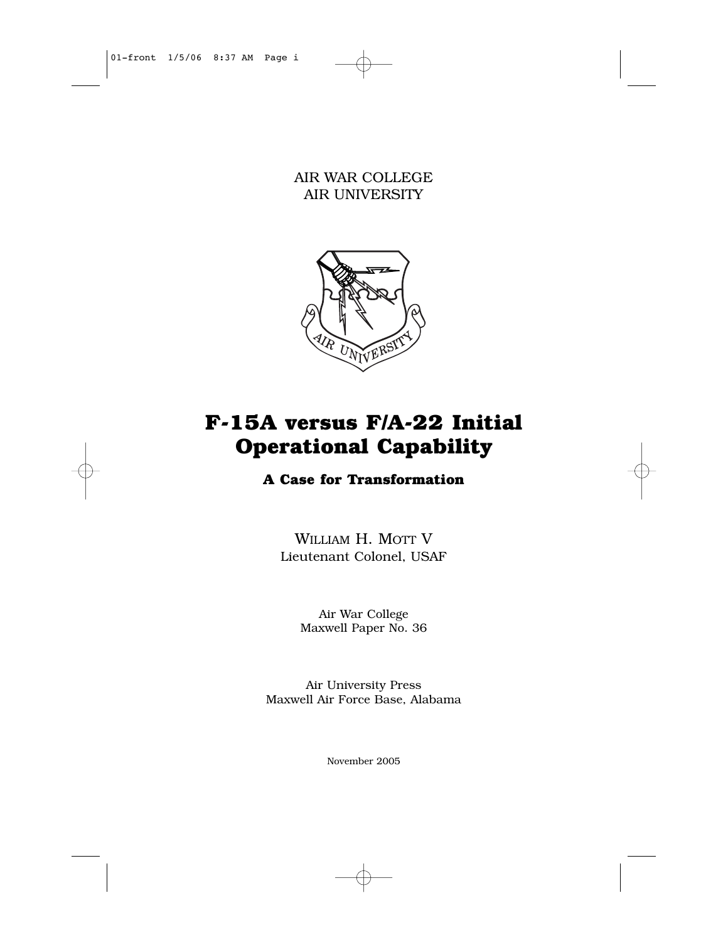AIR WAR COLLEGE AIR UNIVERSITY



# **F-15A versus F/A-22 Initial Operational Capability**

# **A Case for Transformation**

WILLIAM H. MOTT V Lieutenant Colonel, USAF

> Air War College Maxwell Paper No. 36

Air University Press Maxwell Air Force Base, Alabama

November 2005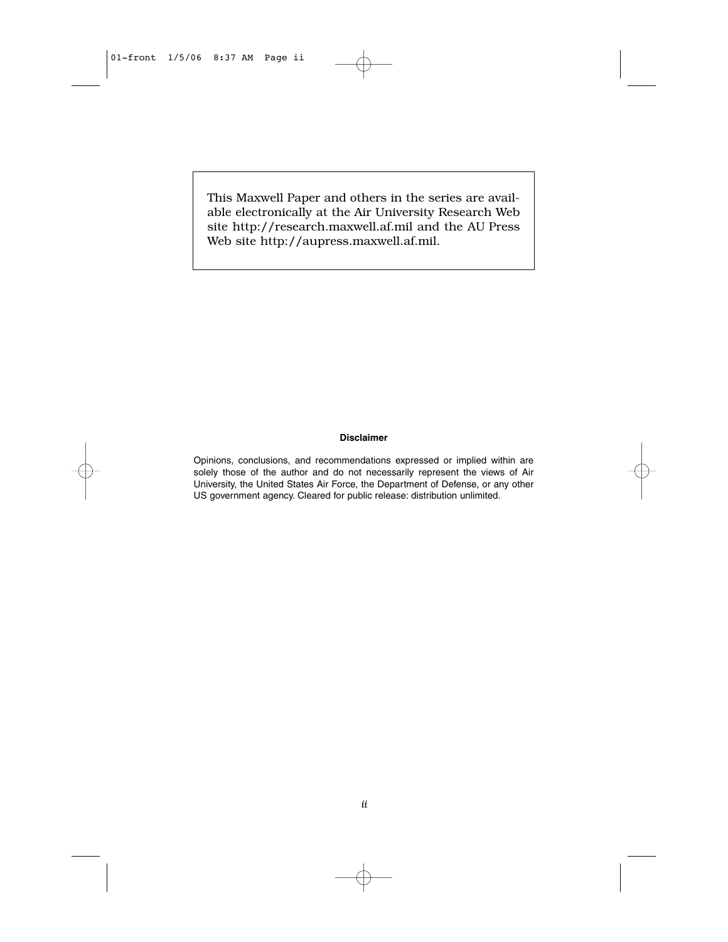This Maxwell Paper and others in the series are available electronically at the Air University Research Web site http://research.maxwell.af.mil and the AU Press Web site http://aupress.maxwell.af.mil.

#### **Disclaimer**

Opinions, conclusions, and recommendations expressed or implied within are solely those of the author and do not necessarily represent the views of Air University, the United States Air Force, the Department of Defense, or any other US government agency. Cleared for public release: distribution unlimited.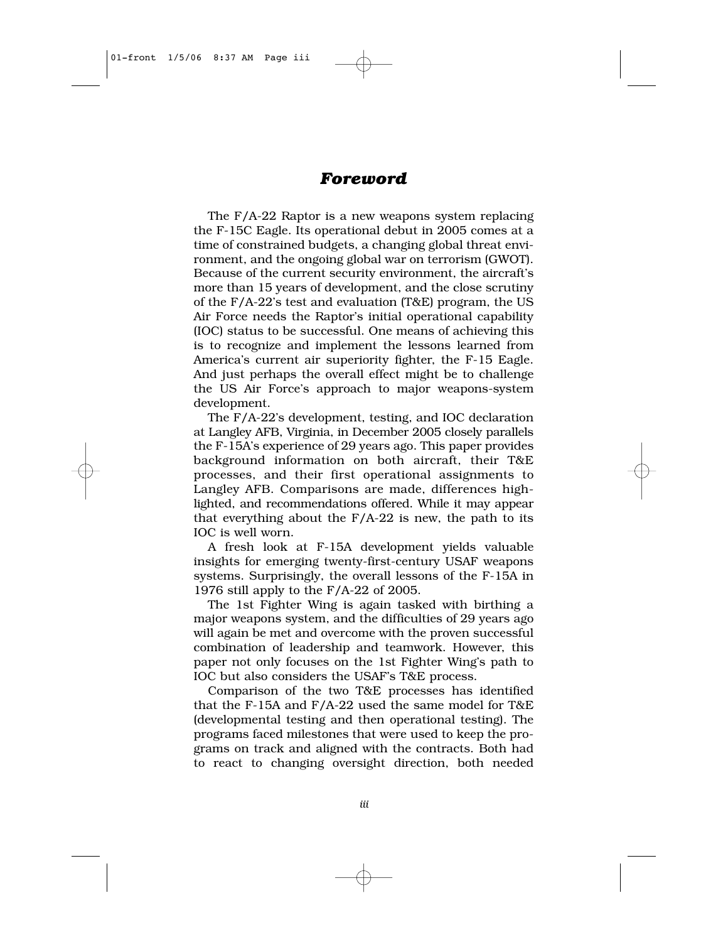# *Foreword*

The F/A-22 Raptor is a new weapons system replacing the F-15C Eagle. Its operational debut in 2005 comes at a time of constrained budgets, a changing global threat environment, and the ongoing global war on terrorism (GWOT). Because of the current security environment, the aircraft's more than 15 years of development, and the close scrutiny of the F/A-22's test and evaluation (T&E) program, the US Air Force needs the Raptor's initial operational capability (IOC) status to be successful. One means of achieving this is to recognize and implement the lessons learned from America's current air superiority fighter, the F-15 Eagle. And just perhaps the overall effect might be to challenge the US Air Force's approach to major weapons-system development.

The F/A-22's development, testing, and IOC declaration at Langley AFB, Virginia, in December 2005 closely parallels the F-15A's experience of 29 years ago. This paper provides background information on both aircraft, their T&E processes, and their first operational assignments to Langley AFB. Comparisons are made, differences highlighted, and recommendations offered. While it may appear that everything about the  $F/A-22$  is new, the path to its IOC is well worn.

A fresh look at F-15A development yields valuable insights for emerging twenty-first-century USAF weapons systems. Surprisingly, the overall lessons of the F-15A in 1976 still apply to the F/A-22 of 2005.

The 1st Fighter Wing is again tasked with birthing a major weapons system, and the difficulties of 29 years ago will again be met and overcome with the proven successful combination of leadership and teamwork. However, this paper not only focuses on the 1st Fighter Wing's path to IOC but also considers the USAF's T&E process.

Comparison of the two T&E processes has identified that the F-15A and F/A-22 used the same model for T&E (developmental testing and then operational testing). The programs faced milestones that were used to keep the programs on track and aligned with the contracts. Both had to react to changing oversight direction, both needed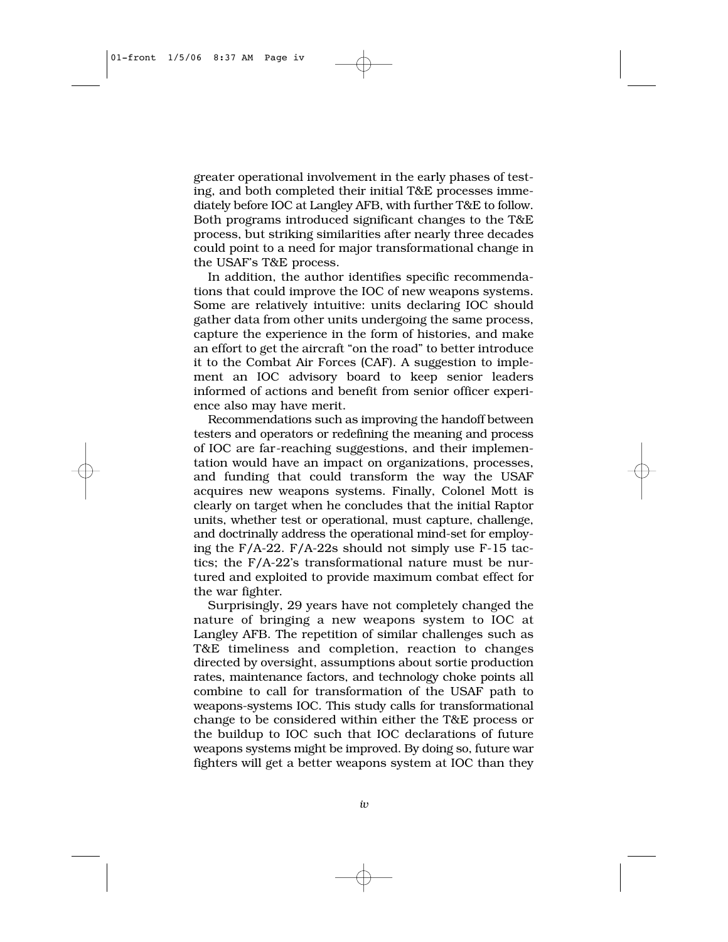greater operational involvement in the early phases of testing, and both completed their initial T&E processes immediately before IOC at Langley AFB, with further T&E to follow. Both programs introduced significant changes to the T&E process, but striking similarities after nearly three decades could point to a need for major transformational change in the USAF's T&E process.

In addition, the author identifies specific recommendations that could improve the IOC of new weapons systems. Some are relatively intuitive: units declaring IOC should gather data from other units undergoing the same process, capture the experience in the form of histories, and make an effort to get the aircraft "on the road" to better introduce it to the Combat Air Forces (CAF). A suggestion to implement an IOC advisory board to keep senior leaders informed of actions and benefit from senior officer experience also may have merit.

Recommendations such as improving the handoff between testers and operators or redefining the meaning and process of IOC are far-reaching suggestions, and their implementation would have an impact on organizations, processes, and funding that could transform the way the USAF acquires new weapons systems. Finally, Colonel Mott is clearly on target when he concludes that the initial Raptor units, whether test or operational, must capture, challenge, and doctrinally address the operational mind-set for employing the F/A-22. F/A-22s should not simply use F-15 tactics; the F/A-22's transformational nature must be nurtured and exploited to provide maximum combat effect for the war fighter.

Surprisingly, 29 years have not completely changed the nature of bringing a new weapons system to IOC at Langley AFB. The repetition of similar challenges such as T&E timeliness and completion, reaction to changes directed by oversight, assumptions about sortie production rates, maintenance factors, and technology choke points all combine to call for transformation of the USAF path to weapons-systems IOC. This study calls for transformational change to be considered within either the T&E process or the buildup to IOC such that IOC declarations of future weapons systems might be improved. By doing so, future war fighters will get a better weapons system at IOC than they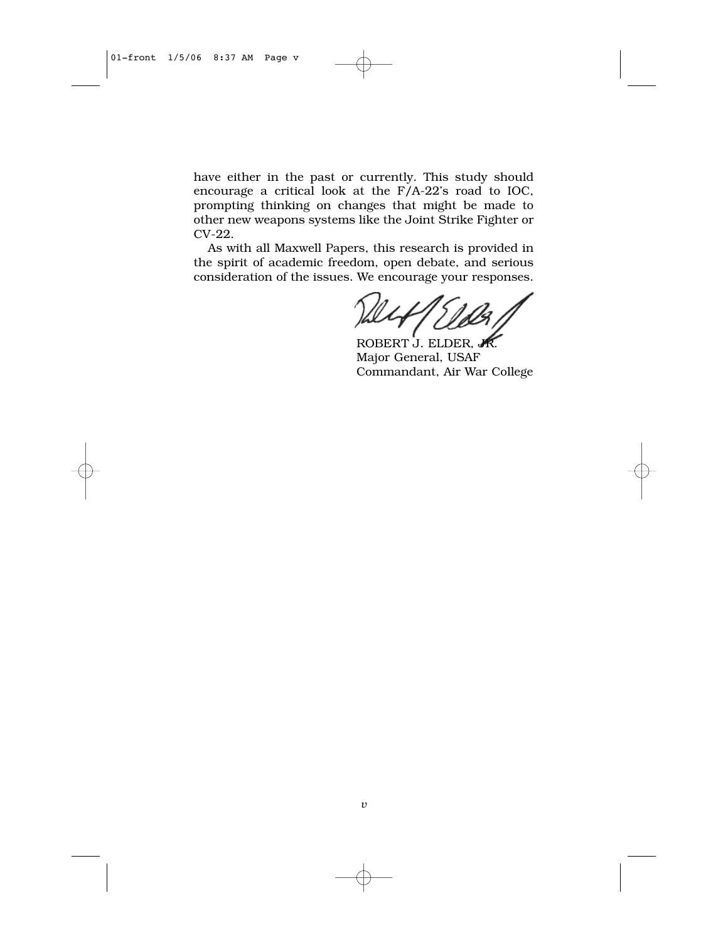have either in the past or currently. This study should encourage a critical look at the F/A-22's road to IOC, prompting thinking on changes that might be made to other new weapons systems like the Joint Strike Fighter or CV-22.

As with all Maxwell Papers, this research is provided in the spirit of academic freedom, open debate, and serious consideration of the issues. We encourage your responses.

ROBERT J. ELDER, Major General, USAF Commandant, Air War College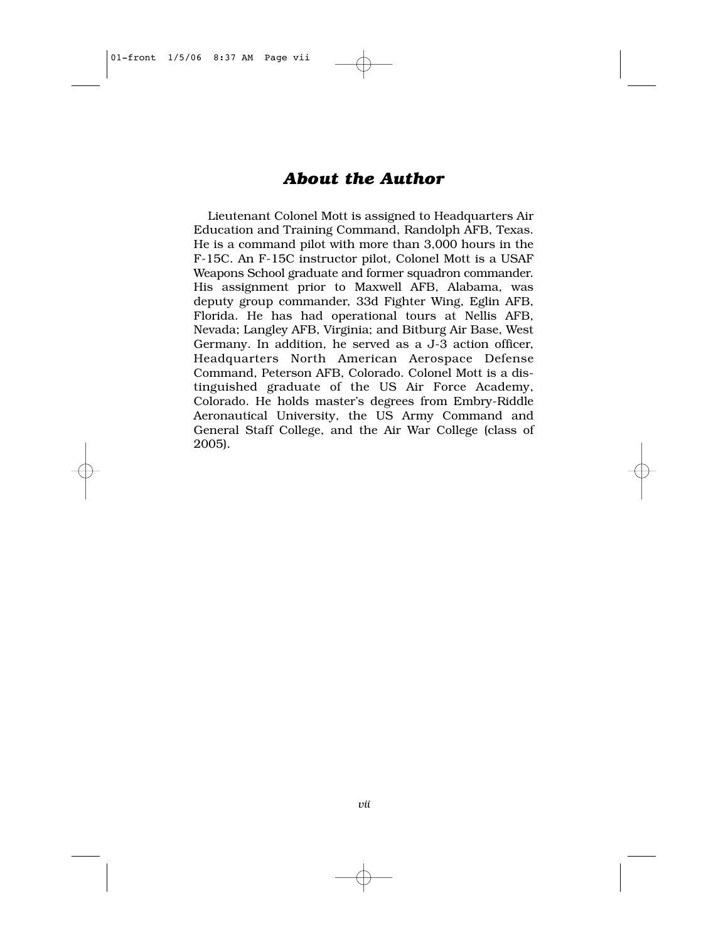# *About the Author*

Lieutenant Colonel Mott is assigned to Headquarters Air Education and Training Command, Randolph AFB, Texas. He is a command pilot with more than 3,000 hours in the F-15C. An F-15C instructor pilot, Colonel Mott is a USAF Weapons School graduate and former squadron commander. His assignment prior to Maxwell AFB, Alabama, was deputy group commander, 33d Fighter Wing, Eglin AFB, Florida. He has had operational tours at Nellis AFB, Nevada; Langley AFB, Virginia; and Bitburg Air Base, West Germany. In addition, he served as a J-3 action officer, Headquarters North American Aerospace Defense Command, Peterson AFB, Colorado. Colonel Mott is a distinguished graduate of the US Air Force Academy, Colorado. He holds master's degrees from Embry-Riddle Aeronautical University, the US Army Command and General Staff College, and the Air War College (class of 2005).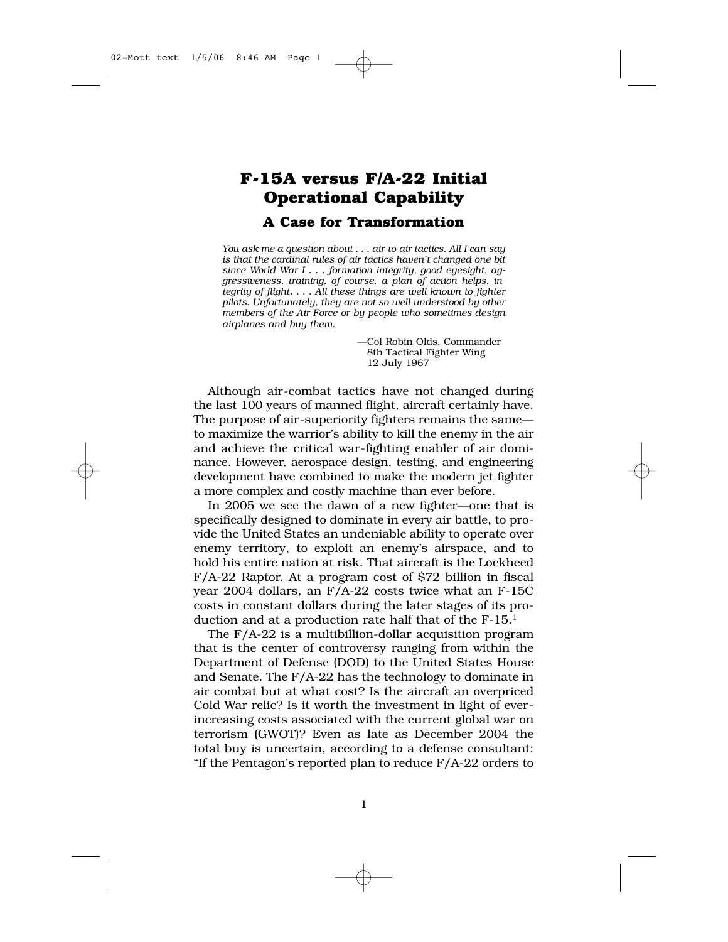# **F-15A versus F/A-22 Initial Operational Capability A Case for Transformation**

*You ask me a question about . . . air-to-air tactics. All I can say is that the cardinal rules of air tactics haven't changed one bit since World War I . . . formation integrity, good eyesight, aggressiveness, training, of course, a plan of action helps, integrity of flight. . . . All these things are well known to fighter pilots. Unfortunately, they are not so well understood by other members of the Air Force or by people who sometimes design airplanes and buy them.*

> —Col Robin Olds, Commander —8th Tactical Fighter Wing —12 July 1967

Although air-combat tactics have not changed during the last 100 years of manned flight, aircraft certainly have. The purpose of air-superiority fighters remains the same to maximize the warrior's ability to kill the enemy in the air and achieve the critical war-fighting enabler of air dominance. However, aerospace design, testing, and engineering development have combined to make the modern jet fighter a more complex and costly machine than ever before.

In 2005 we see the dawn of a new fighter—one that is specifically designed to dominate in every air battle, to provide the United States an undeniable ability to operate over enemy territory, to exploit an enemy's airspace, and to hold his entire nation at risk. That aircraft is the Lockheed F/A-22 Raptor. At a program cost of \$72 billion in fiscal year 2004 dollars, an F/A-22 costs twice what an F-15C costs in constant dollars during the later stages of its production and at a production rate half that of the  $F-15$ <sup>1</sup>

The F/A-22 is a multibillion-dollar acquisition program that is the center of controversy ranging from within the Department of Defense (DOD) to the United States House and Senate. The F/A-22 has the technology to dominate in air combat but at what cost? Is the aircraft an overpriced Cold War relic? Is it worth the investment in light of everincreasing costs associated with the current global war on terrorism (GWOT)? Even as late as December 2004 the total buy is uncertain, according to a defense consultant: "If the Pentagon's reported plan to reduce F/A-22 orders to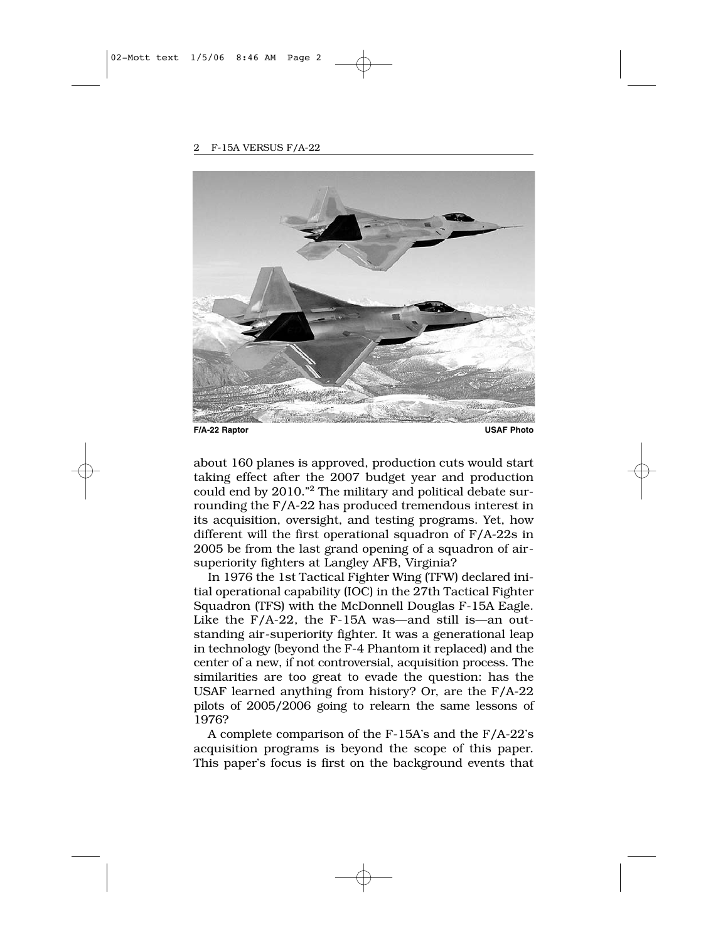

about 160 planes is approved, production cuts would start taking effect after the 2007 budget year and production could end by 2010."2 The military and political debate surrounding the F/A-22 has produced tremendous interest in its acquisition, oversight, and testing programs. Yet, how different will the first operational squadron of F/A-22s in 2005 be from the last grand opening of a squadron of airsuperiority fighters at Langley AFB, Virginia?

In 1976 the 1st Tactical Fighter Wing (TFW) declared initial operational capability (IOC) in the 27th Tactical Fighter Squadron (TFS) with the McDonnell Douglas F-15A Eagle. Like the F/A-22, the F-15A was—and still is—an outstanding air-superiority fighter. It was a generational leap in technology (beyond the F-4 Phantom it replaced) and the center of a new, if not controversial, acquisition process. The similarities are too great to evade the question: has the USAF learned anything from history? Or, are the F/A-22 pilots of 2005/2006 going to relearn the same lessons of 1976?

A complete comparison of the F-15A's and the F/A-22's acquisition programs is beyond the scope of this paper. This paper's focus is first on the background events that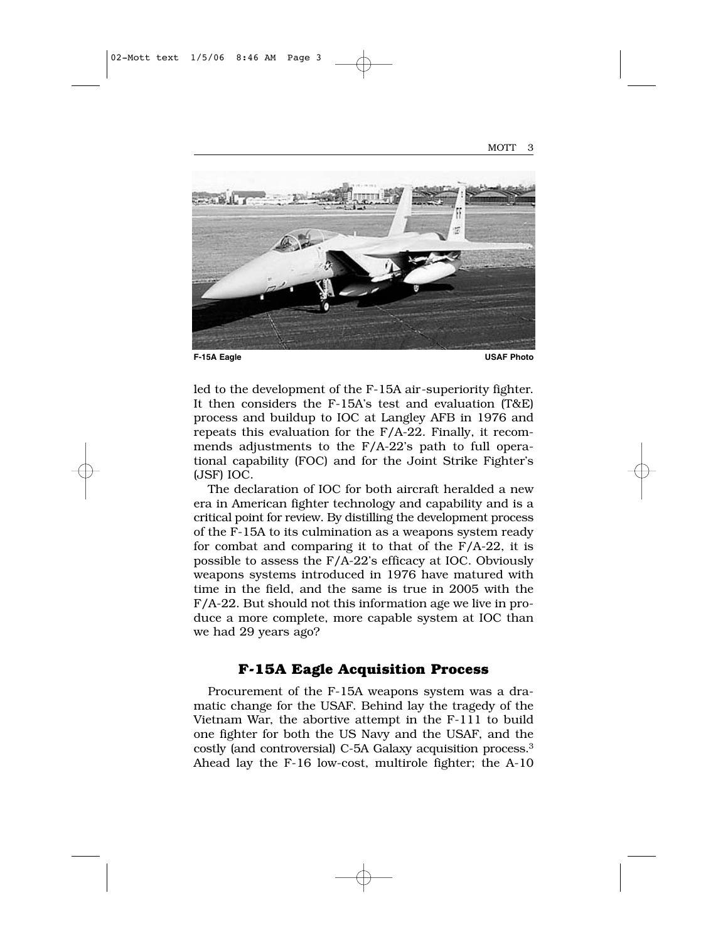

led to the development of the F-15A air-superiority fighter. It then considers the F-15A's test and evaluation (T&E) process and buildup to IOC at Langley AFB in 1976 and repeats this evaluation for the F/A-22. Finally, it recommends adjustments to the F/A-22's path to full operational capability (FOC) and for the Joint Strike Fighter's (JSF) IOC.

The declaration of IOC for both aircraft heralded a new era in American fighter technology and capability and is a critical point for review. By distilling the development process of the F-15A to its culmination as a weapons system ready for combat and comparing it to that of the  $F/A-22$ , it is possible to assess the F/A-22's efficacy at IOC. Obviously weapons systems introduced in 1976 have matured with time in the field, and the same is true in 2005 with the F/A-22. But should not this information age we live in produce a more complete, more capable system at IOC than we had 29 years ago?

## **F-15A Eagle Acquisition Process**

Procurement of the F-15A weapons system was a dramatic change for the USAF. Behind lay the tragedy of the Vietnam War, the abortive attempt in the F-111 to build one fighter for both the US Navy and the USAF, and the costly (and controversial) C-5A Galaxy acquisition process.3 Ahead lay the F-16 low-cost, multirole fighter; the A-10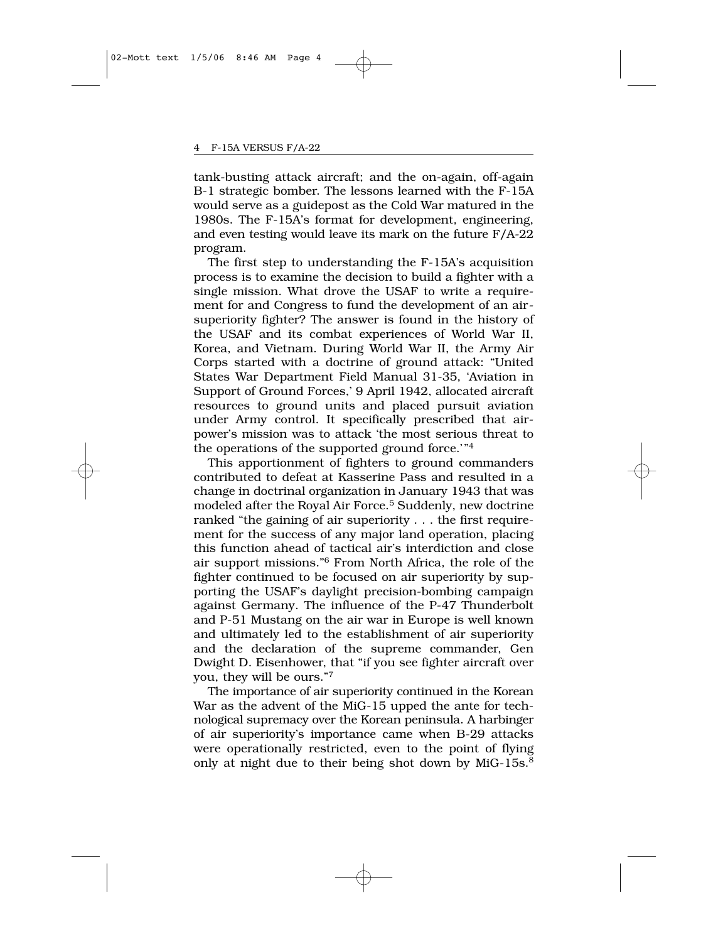tank-busting attack aircraft; and the on-again, off-again B-1 strategic bomber. The lessons learned with the F-15A would serve as a guidepost as the Cold War matured in the 1980s. The F-15A's format for development, engineering, and even testing would leave its mark on the future F/A-22 program.

The first step to understanding the F-15A's acquisition process is to examine the decision to build a fighter with a single mission. What drove the USAF to write a requirement for and Congress to fund the development of an airsuperiority fighter? The answer is found in the history of the USAF and its combat experiences of World War II, Korea, and Vietnam. During World War II, the Army Air Corps started with a doctrine of ground attack: "United States War Department Field Manual 31-35, 'Aviation in Support of Ground Forces,' 9 April 1942, allocated aircraft resources to ground units and placed pursuit aviation under Army control. It specifically prescribed that airpower's mission was to attack 'the most serious threat to the operations of the supported ground force.'"4

This apportionment of fighters to ground commanders contributed to defeat at Kasserine Pass and resulted in a change in doctrinal organization in January 1943 that was modeled after the Royal Air Force.<sup>5</sup> Suddenly, new doctrine ranked "the gaining of air superiority . . . the first requirement for the success of any major land operation, placing this function ahead of tactical air's interdiction and close air support missions."6 From North Africa, the role of the fighter continued to be focused on air superiority by supporting the USAF's daylight precision-bombing campaign against Germany. The influence of the P-47 Thunderbolt and P-51 Mustang on the air war in Europe is well known and ultimately led to the establishment of air superiority and the declaration of the supreme commander, Gen Dwight D. Eisenhower, that "if you see fighter aircraft over you, they will be ours."7

The importance of air superiority continued in the Korean War as the advent of the MiG-15 upped the ante for technological supremacy over the Korean peninsula. A harbinger of air superiority's importance came when B-29 attacks were operationally restricted, even to the point of flying only at night due to their being shot down by MiG-15s.<sup>8</sup>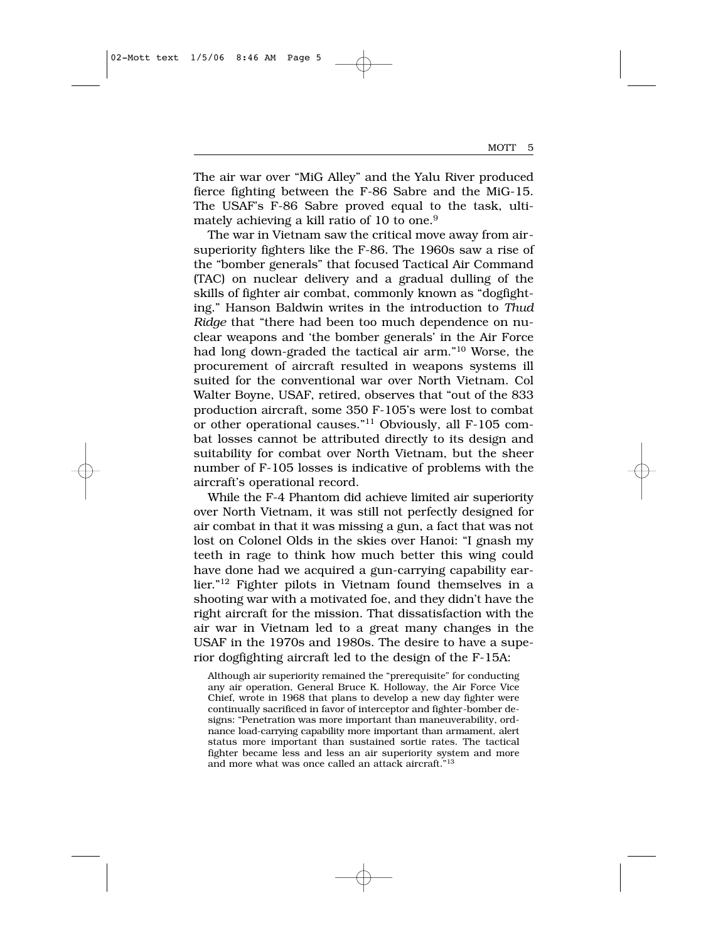The air war over "MiG Alley" and the Yalu River produced fierce fighting between the F-86 Sabre and the MiG-15. The USAF's F-86 Sabre proved equal to the task, ultimately achieving a kill ratio of 10 to one.<sup>9</sup>

The war in Vietnam saw the critical move away from airsuperiority fighters like the F-86. The 1960s saw a rise of the "bomber generals" that focused Tactical Air Command (TAC) on nuclear delivery and a gradual dulling of the skills of fighter air combat, commonly known as "dogfighting." Hanson Baldwin writes in the introduction to *Thud Ridge* that "there had been too much dependence on nuclear weapons and 'the bomber generals' in the Air Force had long down-graded the tactical air arm."10 Worse, the procurement of aircraft resulted in weapons systems ill suited for the conventional war over North Vietnam. Col Walter Boyne, USAF, retired, observes that "out of the 833 production aircraft, some 350 F-105's were lost to combat or other operational causes."11 Obviously, all F-105 combat losses cannot be attributed directly to its design and suitability for combat over North Vietnam, but the sheer number of F-105 losses is indicative of problems with the aircraft's operational record.

While the F-4 Phantom did achieve limited air superiority over North Vietnam, it was still not perfectly designed for air combat in that it was missing a gun, a fact that was not lost on Colonel Olds in the skies over Hanoi: "I gnash my teeth in rage to think how much better this wing could have done had we acquired a gun-carrying capability earlier."12 Fighter pilots in Vietnam found themselves in a shooting war with a motivated foe, and they didn't have the right aircraft for the mission. That dissatisfaction with the air war in Vietnam led to a great many changes in the USAF in the 1970s and 1980s. The desire to have a superior dogfighting aircraft led to the design of the F-15A:

Although air superiority remained the "prerequisite" for conducting any air operation, General Bruce K. Holloway, the Air Force Vice Chief, wrote in 1968 that plans to develop a new day fighter were continually sacrificed in favor of interceptor and fighter-bomber designs: "Penetration was more important than maneuverability, ordnance load-carrying capability more important than armament, alert status more important than sustained sortie rates. The tactical fighter became less and less an air superiority system and more and more what was once called an attack aircraft."13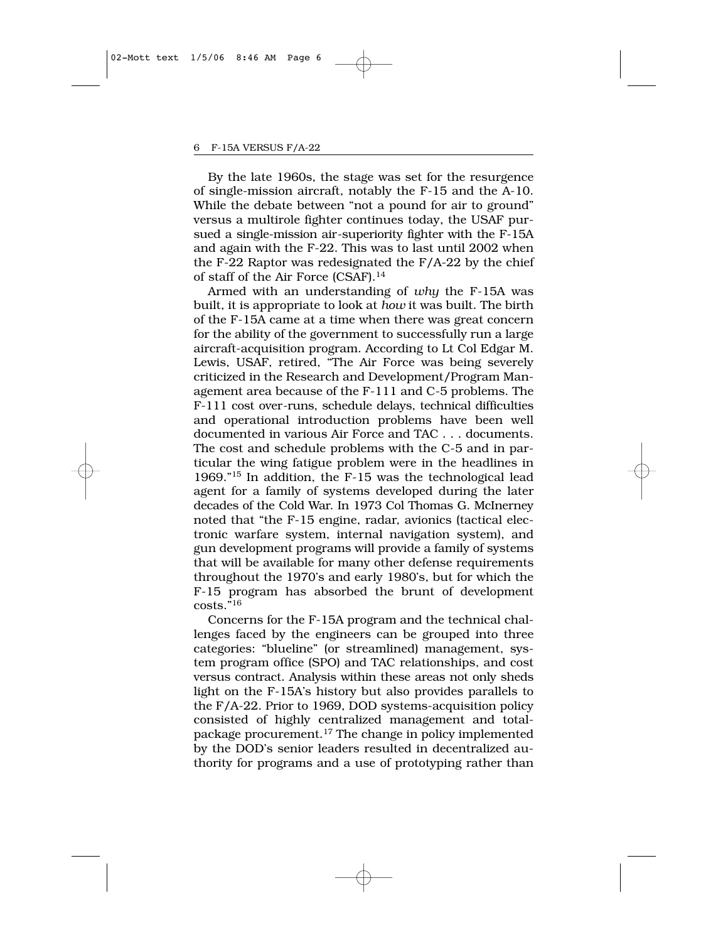By the late 1960s, the stage was set for the resurgence of single-mission aircraft, notably the F-15 and the A-10. While the debate between "not a pound for air to ground" versus a multirole fighter continues today, the USAF pursued a single-mission air-superiority fighter with the F-15A and again with the F-22. This was to last until 2002 when the F-22 Raptor was redesignated the F/A-22 by the chief of staff of the Air Force (CSAF).14

Armed with an understanding of *why* the F-15A was built, it is appropriate to look at *how* it was built. The birth of the F-15A came at a time when there was great concern for the ability of the government to successfully run a large aircraft-acquisition program. According to Lt Col Edgar M. Lewis, USAF, retired, "The Air Force was being severely criticized in the Research and Development/Program Management area because of the F-111 and C-5 problems. The F-111 cost over-runs, schedule delays, technical difficulties and operational introduction problems have been well documented in various Air Force and TAC . . . documents. The cost and schedule problems with the C-5 and in particular the wing fatigue problem were in the headlines in 1969."15 In addition, the F-15 was the technological lead agent for a family of systems developed during the later decades of the Cold War. In 1973 Col Thomas G. McInerney noted that "the F-15 engine, radar, avionics (tactical electronic warfare system, internal navigation system), and gun development programs will provide a family of systems that will be available for many other defense requirements throughout the 1970's and early 1980's, but for which the F-15 program has absorbed the brunt of development costs."16

Concerns for the F-15A program and the technical challenges faced by the engineers can be grouped into three categories: "blueline" (or streamlined) management, system program office (SPO) and TAC relationships, and cost versus contract. Analysis within these areas not only sheds light on the F-15A's history but also provides parallels to the F/A-22. Prior to 1969, DOD systems-acquisition policy consisted of highly centralized management and totalpackage procurement.17 The change in policy implemented by the DOD's senior leaders resulted in decentralized authority for programs and a use of prototyping rather than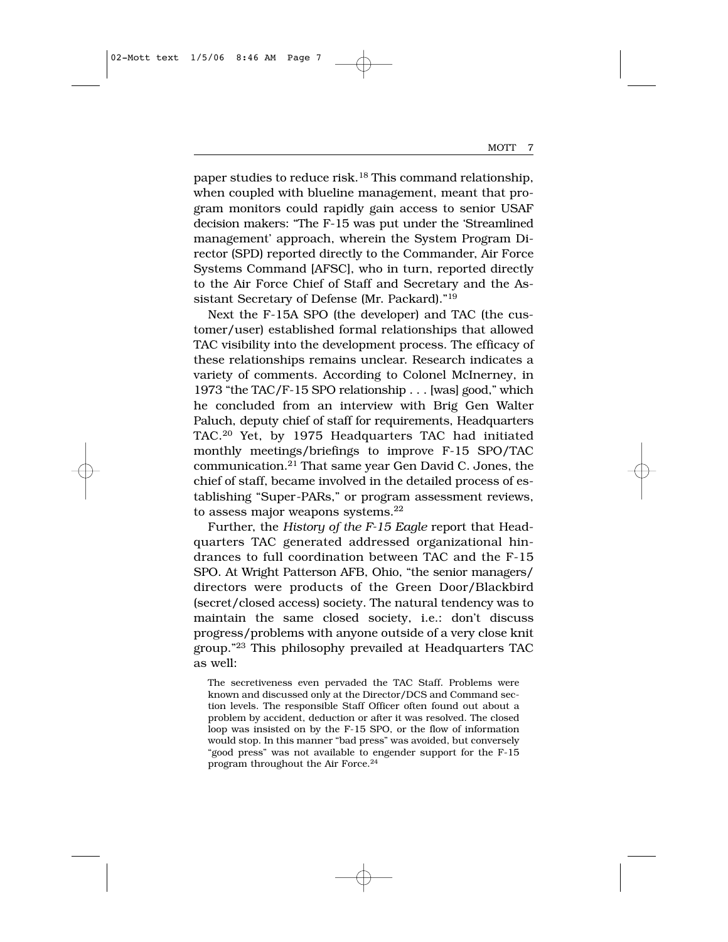paper studies to reduce risk.<sup>18</sup> This command relationship, when coupled with blueline management, meant that program monitors could rapidly gain access to senior USAF decision makers: "The F-15 was put under the 'Streamlined management' approach, wherein the System Program Director (SPD) reported directly to the Commander, Air Force Systems Command [AFSC], who in turn, reported directly to the Air Force Chief of Staff and Secretary and the Assistant Secretary of Defense (Mr. Packard)."19

Next the F-15A SPO (the developer) and TAC (the customer/user) established formal relationships that allowed TAC visibility into the development process. The efficacy of these relationships remains unclear. Research indicates a variety of comments. According to Colonel McInerney, in 1973 "the TAC/F-15 SPO relationship . . . [was] good," which he concluded from an interview with Brig Gen Walter Paluch, deputy chief of staff for requirements, Headquarters TAC.20 Yet, by 1975 Headquarters TAC had initiated monthly meetings/briefings to improve F-15 SPO/TAC communication.21 That same year Gen David C. Jones, the chief of staff, became involved in the detailed process of establishing "Super-PARs," or program assessment reviews, to assess major weapons systems.<sup>22</sup>

Further, the *History of the F-15 Eagle* report that Headquarters TAC generated addressed organizational hindrances to full coordination between TAC and the F-15 SPO. At Wright Patterson AFB, Ohio, "the senior managers/ directors were products of the Green Door/Blackbird (secret/closed access) society. The natural tendency was to maintain the same closed society, i.e.: don't discuss progress/problems with anyone outside of a very close knit group."23 This philosophy prevailed at Headquarters TAC as well:

The secretiveness even pervaded the TAC Staff. Problems were known and discussed only at the Director/DCS and Command section levels. The responsible Staff Officer often found out about a problem by accident, deduction or after it was resolved. The closed loop was insisted on by the F-15 SPO, or the flow of information would stop. In this manner "bad press" was avoided, but conversely "good press" was not available to engender support for the F-15 program throughout the Air Force.24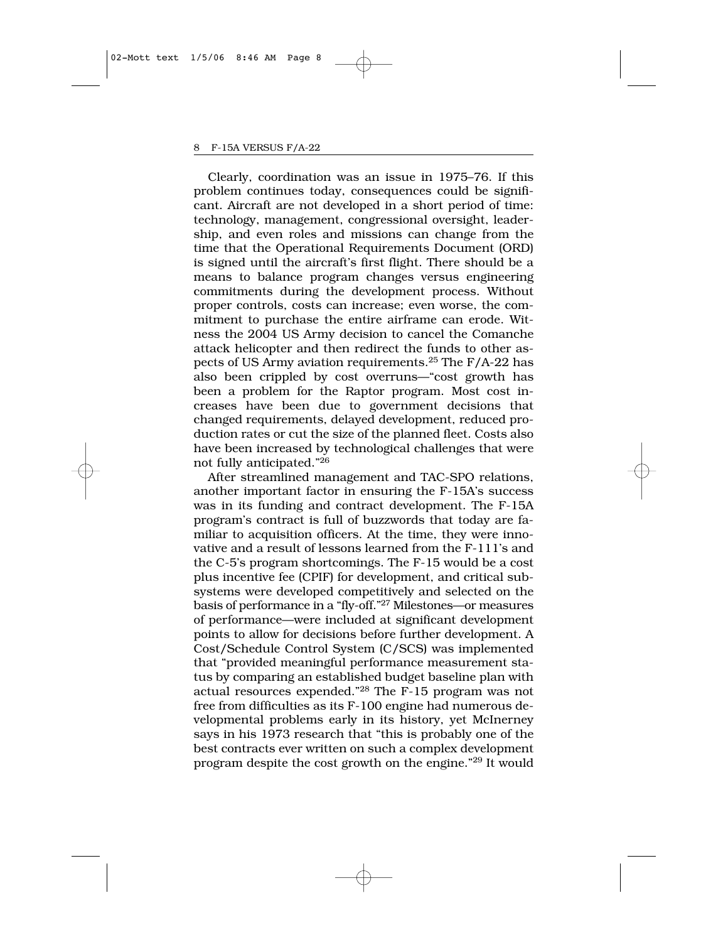Clearly, coordination was an issue in 1975–76. If this problem continues today, consequences could be significant. Aircraft are not developed in a short period of time: technology, management, congressional oversight, leadership, and even roles and missions can change from the time that the Operational Requirements Document (ORD) is signed until the aircraft's first flight. There should be a means to balance program changes versus engineering commitments during the development process. Without proper controls, costs can increase; even worse, the commitment to purchase the entire airframe can erode. Witness the 2004 US Army decision to cancel the Comanche attack helicopter and then redirect the funds to other aspects of US Army aviation requirements.25 The F/A-22 has also been crippled by cost overruns—"cost growth has been a problem for the Raptor program. Most cost increases have been due to government decisions that changed requirements, delayed development, reduced production rates or cut the size of the planned fleet. Costs also have been increased by technological challenges that were not fully anticipated."26

After streamlined management and TAC-SPO relations, another important factor in ensuring the F-15A's success was in its funding and contract development. The F-15A program's contract is full of buzzwords that today are familiar to acquisition officers. At the time, they were innovative and a result of lessons learned from the F-111's and the C-5's program shortcomings. The F-15 would be a cost plus incentive fee (CPIF) for development, and critical subsystems were developed competitively and selected on the basis of performance in a "fly-off."27 Milestones—or measures of performance—were included at significant development points to allow for decisions before further development. A Cost/Schedule Control System (C/SCS) was implemented that "provided meaningful performance measurement status by comparing an established budget baseline plan with actual resources expended."28 The F-15 program was not free from difficulties as its F-100 engine had numerous developmental problems early in its history, yet McInerney says in his 1973 research that "this is probably one of the best contracts ever written on such a complex development program despite the cost growth on the engine."29 It would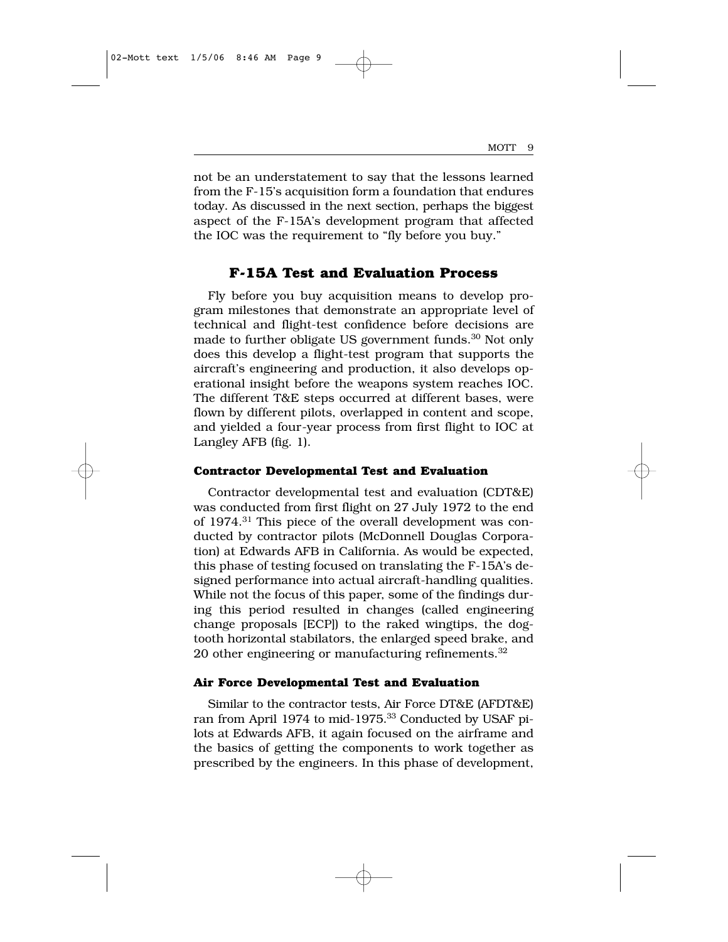not be an understatement to say that the lessons learned from the F-15's acquisition form a foundation that endures today. As discussed in the next section, perhaps the biggest aspect of the F-15A's development program that affected the IOC was the requirement to "fly before you buy."

## **F-15A Test and Evaluation Process**

Fly before you buy acquisition means to develop program milestones that demonstrate an appropriate level of technical and flight-test confidence before decisions are made to further obligate US government funds.<sup>30</sup> Not only does this develop a flight-test program that supports the aircraft's engineering and production, it also develops operational insight before the weapons system reaches IOC. The different T&E steps occurred at different bases, were flown by different pilots, overlapped in content and scope, and yielded a four-year process from first flight to IOC at Langley AFB (fig. 1).

#### **Contractor Developmental Test and Evaluation**

Contractor developmental test and evaluation (CDT&E) was conducted from first flight on 27 July 1972 to the end of 1974.31 This piece of the overall development was conducted by contractor pilots (McDonnell Douglas Corporation) at Edwards AFB in California. As would be expected, this phase of testing focused on translating the F-15A's designed performance into actual aircraft-handling qualities. While not the focus of this paper, some of the findings during this period resulted in changes (called engineering change proposals [ECP]) to the raked wingtips, the dogtooth horizontal stabilators, the enlarged speed brake, and 20 other engineering or manufacturing refinements.<sup>32</sup>

#### **Air Force Developmental Test and Evaluation**

Similar to the contractor tests, Air Force DT&E (AFDT&E) ran from April 1974 to mid-1975.<sup>33</sup> Conducted by USAF pilots at Edwards AFB, it again focused on the airframe and the basics of getting the components to work together as prescribed by the engineers. In this phase of development,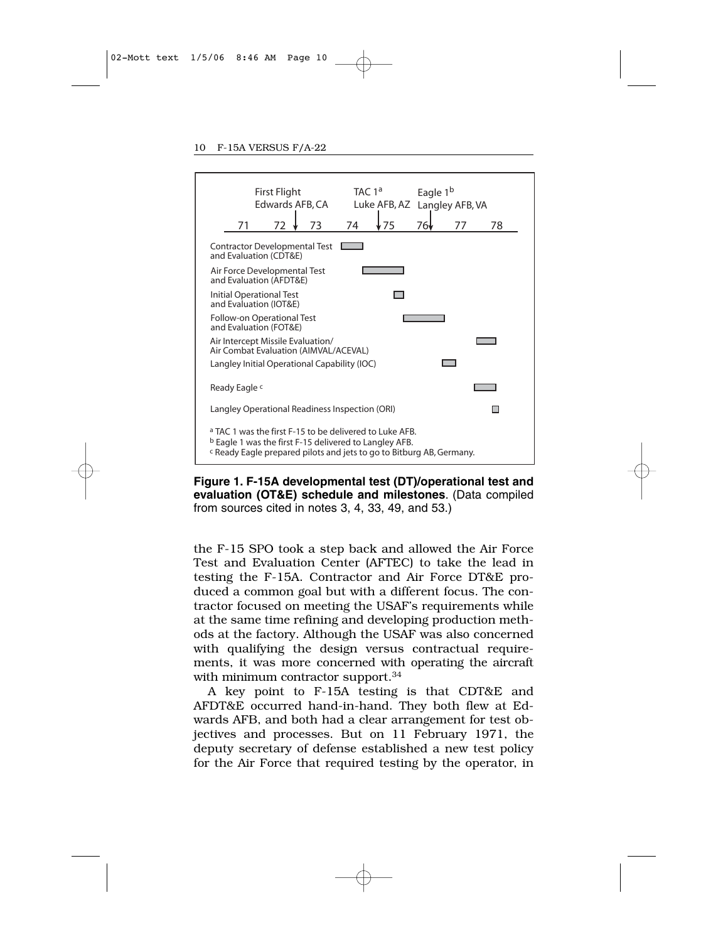

**Figure 1. F-15A developmental test (DT)/operational test and evaluation (OT&E) schedule and milestones**. (Data compiled from sources cited in notes 3, 4, 33, 49, and 53.)

the F-15 SPO took a step back and allowed the Air Force Test and Evaluation Center (AFTEC) to take the lead in testing the F-15A. Contractor and Air Force DT&E produced a common goal but with a different focus. The contractor focused on meeting the USAF's requirements while at the same time refining and developing production methods at the factory. Although the USAF was also concerned with qualifying the design versus contractual requirements, it was more concerned with operating the aircraft with minimum contractor support.<sup>34</sup>

A key point to F-15A testing is that CDT&E and AFDT&E occurred hand-in-hand. They both flew at Edwards AFB, and both had a clear arrangement for test objectives and processes. But on 11 February 1971, the deputy secretary of defense established a new test policy for the Air Force that required testing by the operator, in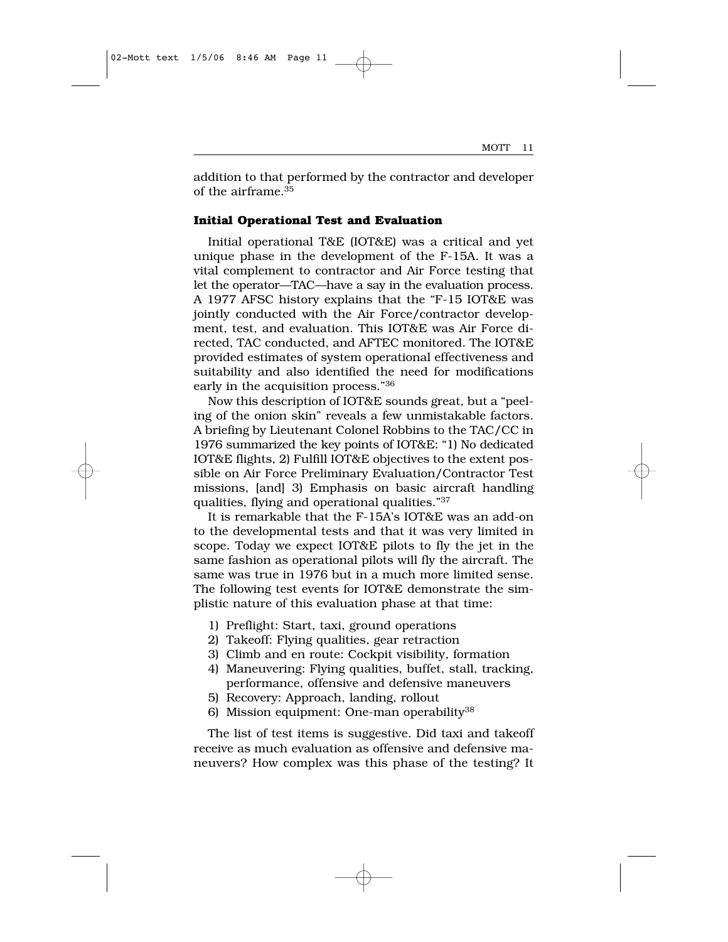addition to that performed by the contractor and developer of the airframe.35

#### **Initial Operational Test and Evaluation**

Initial operational T&E (IOT&E) was a critical and yet unique phase in the development of the F-15A. It was a vital complement to contractor and Air Force testing that let the operator—TAC—have a say in the evaluation process. A 1977 AFSC history explains that the "F-15 IOT&E was jointly conducted with the Air Force/contractor development, test, and evaluation. This IOT&E was Air Force directed, TAC conducted, and AFTEC monitored. The IOT&E provided estimates of system operational effectiveness and suitability and also identified the need for modifications early in the acquisition process."36

Now this description of IOT&E sounds great, but a "peeling of the onion skin" reveals a few unmistakable factors. A briefing by Lieutenant Colonel Robbins to the TAC/CC in 1976 summarized the key points of IOT&E: "1) No dedicated IOT&E flights, 2) Fulfill IOT&E objectives to the extent possible on Air Force Preliminary Evaluation/Contractor Test missions, [and] 3) Emphasis on basic aircraft handling qualities, flying and operational qualities."37

It is remarkable that the F-15A's IOT&E was an add-on to the developmental tests and that it was very limited in scope. Today we expect IOT&E pilots to fly the jet in the same fashion as operational pilots will fly the aircraft. The same was true in 1976 but in a much more limited sense. The following test events for IOT&E demonstrate the simplistic nature of this evaluation phase at that time:

- 1) Preflight: Start, taxi, ground operations
- 2) Takeoff: Flying qualities, gear retraction
- 3) Climb and en route: Cockpit visibility, formation
- 4) Maneuvering: Flying qualities, buffet, stall, tracking, performance, offensive and defensive maneuvers
- 5) Recovery: Approach, landing, rollout
- 6) Mission equipment: One-man operability38

The list of test items is suggestive. Did taxi and takeoff receive as much evaluation as offensive and defensive maneuvers? How complex was this phase of the testing? It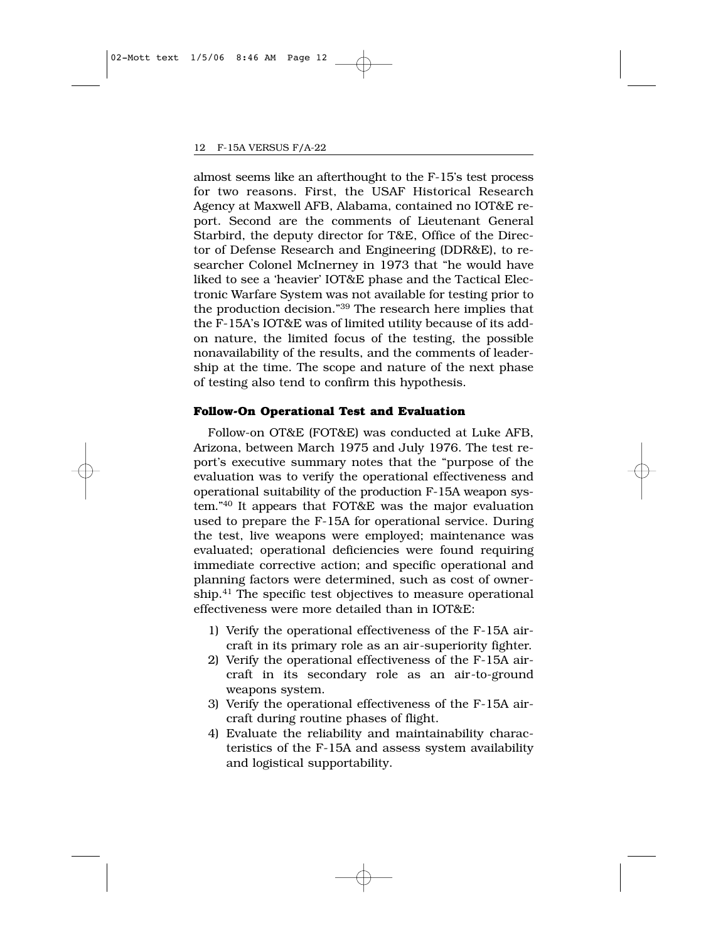almost seems like an afterthought to the F-15's test process for two reasons. First, the USAF Historical Research Agency at Maxwell AFB, Alabama, contained no IOT&E report. Second are the comments of Lieutenant General Starbird, the deputy director for T&E, Office of the Director of Defense Research and Engineering (DDR&E), to researcher Colonel McInerney in 1973 that "he would have liked to see a 'heavier' IOT&E phase and the Tactical Electronic Warfare System was not available for testing prior to the production decision."39 The research here implies that the F-15A's IOT&E was of limited utility because of its addon nature, the limited focus of the testing, the possible nonavailability of the results, and the comments of leadership at the time. The scope and nature of the next phase of testing also tend to confirm this hypothesis.

#### **Follow-On Operational Test and Evaluation**

Follow-on OT&E (FOT&E) was conducted at Luke AFB, Arizona, between March 1975 and July 1976. The test report's executive summary notes that the "purpose of the evaluation was to verify the operational effectiveness and operational suitability of the production F-15A weapon system."40 It appears that FOT&E was the major evaluation used to prepare the F-15A for operational service. During the test, live weapons were employed; maintenance was evaluated; operational deficiencies were found requiring immediate corrective action; and specific operational and planning factors were determined, such as cost of ownership.41 The specific test objectives to measure operational effectiveness were more detailed than in IOT&E:

- 1) Verify the operational effectiveness of the F-15A aircraft in its primary role as an air-superiority fighter.
- 2) Verify the operational effectiveness of the F-15A aircraft in its secondary role as an air-to-ground weapons system.
- 3) Verify the operational effectiveness of the F-15A aircraft during routine phases of flight.
- 4) Evaluate the reliability and maintainability characteristics of the F-15A and assess system availability and logistical supportability.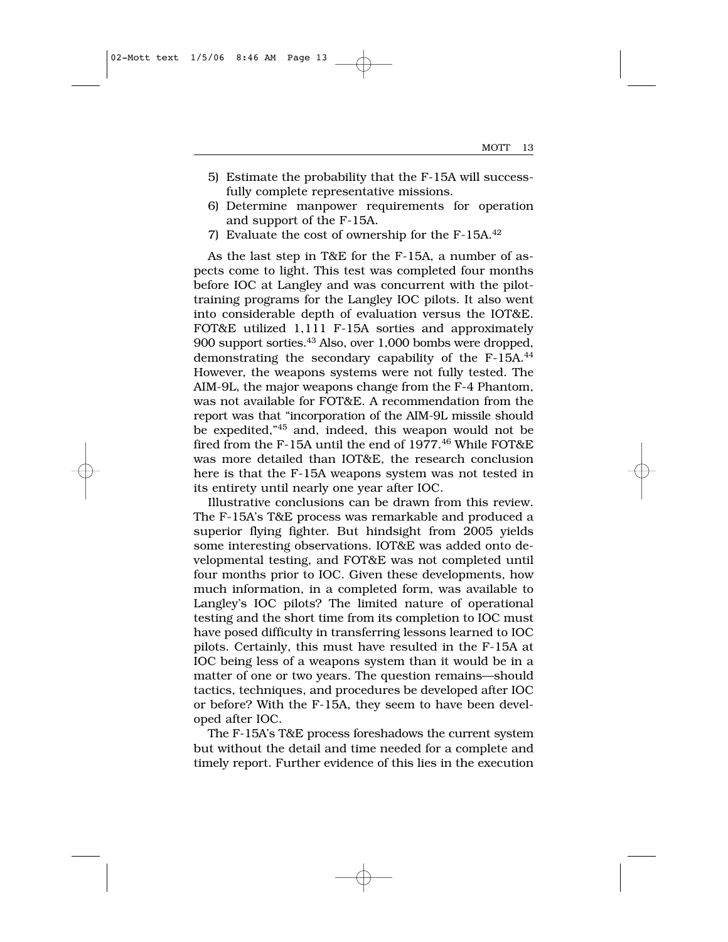- 5) Estimate the probability that the F-15A will successfully complete representative missions.
- 6) Determine manpower requirements for operation and support of the F-15A.
- 7) Evaluate the cost of ownership for the F-15A.42

As the last step in T&E for the F-15A, a number of aspects come to light. This test was completed four months before IOC at Langley and was concurrent with the pilottraining programs for the Langley IOC pilots. It also went into considerable depth of evaluation versus the IOT&E. FOT&E utilized 1,111 F-15A sorties and approximately 900 support sorties.43 Also, over 1,000 bombs were dropped, demonstrating the secondary capability of the F-15A.44 However, the weapons systems were not fully tested. The AIM-9L, the major weapons change from the F-4 Phantom, was not available for FOT&E. A recommendation from the report was that "incorporation of the AIM-9L missile should be expedited,"45 and, indeed, this weapon would not be fired from the F-15A until the end of 1977.<sup>46</sup> While FOT&E was more detailed than IOT&E, the research conclusion here is that the F-15A weapons system was not tested in its entirety until nearly one year after IOC.

Illustrative conclusions can be drawn from this review. The F-15A's T&E process was remarkable and produced a superior flying fighter. But hindsight from 2005 yields some interesting observations. IOT&E was added onto developmental testing, and FOT&E was not completed until four months prior to IOC. Given these developments, how much information, in a completed form, was available to Langley's IOC pilots? The limited nature of operational testing and the short time from its completion to IOC must have posed difficulty in transferring lessons learned to IOC pilots. Certainly, this must have resulted in the F-15A at IOC being less of a weapons system than it would be in a matter of one or two years. The question remains—should tactics, techniques, and procedures be developed after IOC or before? With the F-15A, they seem to have been developed after IOC.

The F-15A's T&E process foreshadows the current system but without the detail and time needed for a complete and timely report. Further evidence of this lies in the execution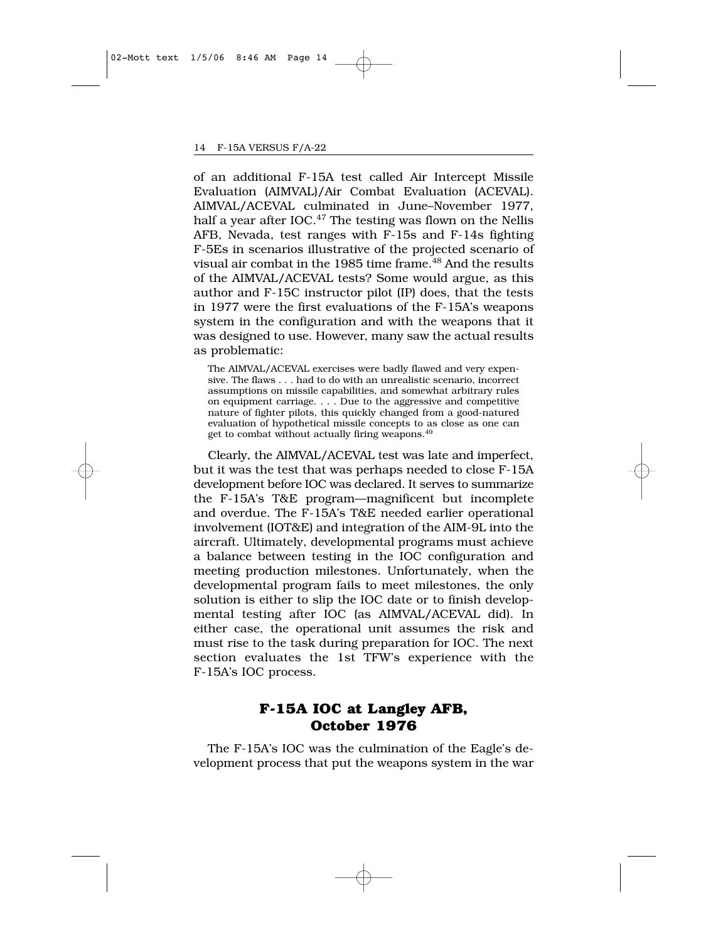of an additional F-15A test called Air Intercept Missile Evaluation (AIMVAL)/Air Combat Evaluation (ACEVAL). AIMVAL/ACEVAL culminated in June–November 1977, half a year after IOC.<sup>47</sup> The testing was flown on the Nellis AFB, Nevada, test ranges with F-15s and F-14s fighting F-5Es in scenarios illustrative of the projected scenario of visual air combat in the 1985 time frame.<sup>48</sup> And the results of the AIMVAL/ACEVAL tests? Some would argue, as this author and F-15C instructor pilot (IP) does, that the tests in 1977 were the first evaluations of the F-15A's weapons system in the configuration and with the weapons that it was designed to use. However, many saw the actual results as problematic:

The AIMVAL/ACEVAL exercises were badly flawed and very expensive. The flaws . . . had to do with an unrealistic scenario, incorrect assumptions on missile capabilities, and somewhat arbitrary rules on equipment carriage. . . . Due to the aggressive and competitive nature of fighter pilots, this quickly changed from a good-natured evaluation of hypothetical missile concepts to as close as one can get to combat without actually firing weapons.49

Clearly, the AIMVAL/ACEVAL test was late and imperfect, but it was the test that was perhaps needed to close F-15A development before IOC was declared. It serves to summarize the F-15A's T&E program—magnificent but incomplete and overdue. The F-15A's T&E needed earlier operational involvement (IOT&E) and integration of the AIM-9L into the aircraft. Ultimately, developmental programs must achieve a balance between testing in the IOC configuration and meeting production milestones. Unfortunately, when the developmental program fails to meet milestones, the only solution is either to slip the IOC date or to finish developmental testing after IOC (as AIMVAL/ACEVAL did). In either case, the operational unit assumes the risk and must rise to the task during preparation for IOC. The next section evaluates the 1st TFW's experience with the F-15A's IOC process.

## **F-15A IOC at Langley AFB, October 1976**

The F-15A's IOC was the culmination of the Eagle's development process that put the weapons system in the war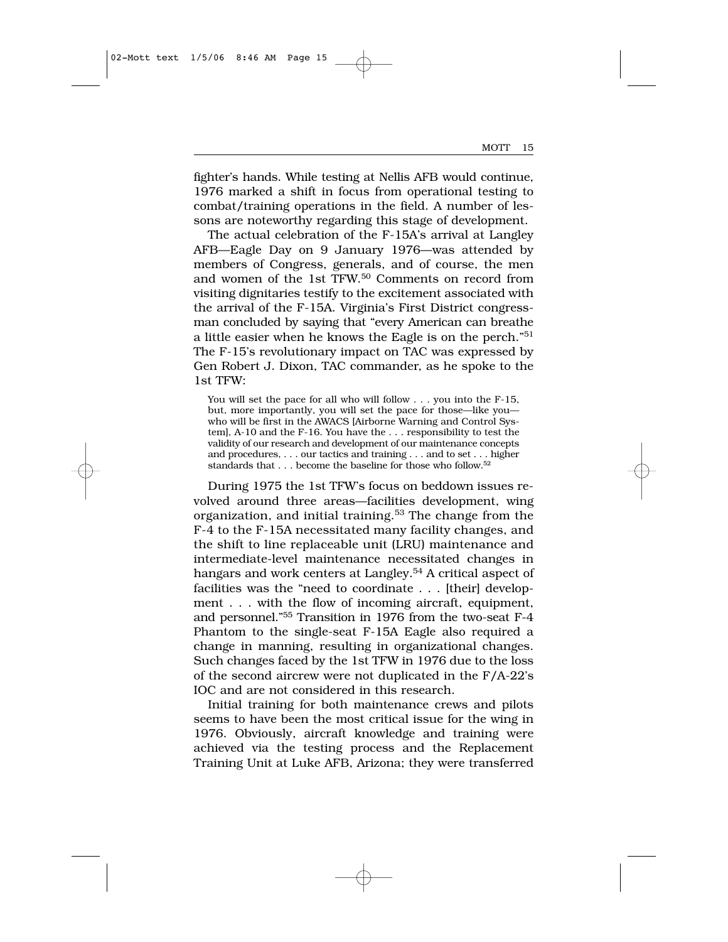fighter's hands. While testing at Nellis AFB would continue, 1976 marked a shift in focus from operational testing to combat/training operations in the field. A number of lessons are noteworthy regarding this stage of development.

The actual celebration of the F-15A's arrival at Langley AFB—Eagle Day on 9 January 1976—was attended by members of Congress, generals, and of course, the men and women of the 1st TFW.50 Comments on record from visiting dignitaries testify to the excitement associated with the arrival of the F-15A. Virginia's First District congressman concluded by saying that "every American can breathe a little easier when he knows the Eagle is on the perch."51 The F-15's revolutionary impact on TAC was expressed by Gen Robert J. Dixon, TAC commander, as he spoke to the 1st TFW:

You will set the pace for all who will follow . . . you into the F-15, but, more importantly, you will set the pace for those—like you who will be first in the AWACS [Airborne Warning and Control System], A-10 and the F-16. You have the . . . responsibility to test the validity of our research and development of our maintenance concepts and procedures, . . . our tactics and training . . . and to set . . . higher standards that . . . become the baseline for those who follow.52

During 1975 the 1st TFW's focus on beddown issues revolved around three areas—facilities development, wing organization, and initial training.<sup>53</sup> The change from the F-4 to the F-15A necessitated many facility changes, and the shift to line replaceable unit (LRU) maintenance and intermediate-level maintenance necessitated changes in hangars and work centers at Langley.<sup>54</sup> A critical aspect of facilities was the "need to coordinate . . . [their] development . . . with the flow of incoming aircraft, equipment, and personnel."55 Transition in 1976 from the two-seat F-4 Phantom to the single-seat F-15A Eagle also required a change in manning, resulting in organizational changes. Such changes faced by the 1st TFW in 1976 due to the loss of the second aircrew were not duplicated in the F/A-22's IOC and are not considered in this research.

Initial training for both maintenance crews and pilots seems to have been the most critical issue for the wing in 1976. Obviously, aircraft knowledge and training were achieved via the testing process and the Replacement Training Unit at Luke AFB, Arizona; they were transferred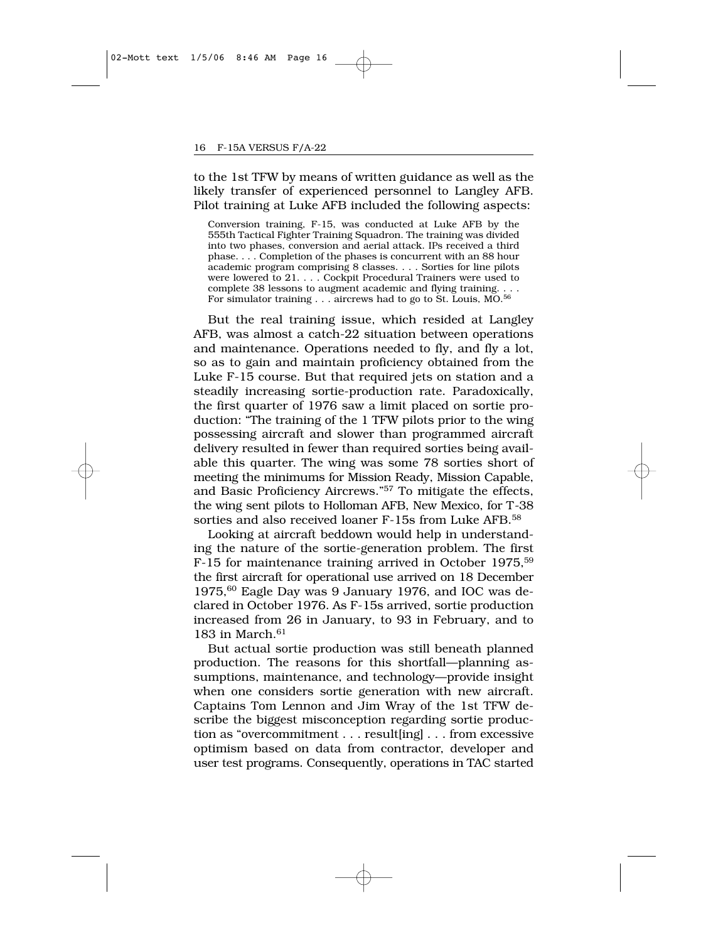to the 1st TFW by means of written guidance as well as the likely transfer of experienced personnel to Langley AFB. Pilot training at Luke AFB included the following aspects:

Conversion training, F-15, was conducted at Luke AFB by the 555th Tactical Fighter Training Squadron. The training was divided into two phases, conversion and aerial attack. IPs received a third phase. . . . Completion of the phases is concurrent with an 88 hour academic program comprising 8 classes. . . . Sorties for line pilots were lowered to 21. . . . Cockpit Procedural Trainers were used to complete 38 lessons to augment academic and flying training. . . . For simulator training . . . aircrews had to go to St. Louis, MO.<sup>56</sup>

But the real training issue, which resided at Langley AFB, was almost a catch-22 situation between operations and maintenance. Operations needed to fly, and fly a lot, so as to gain and maintain proficiency obtained from the Luke F-15 course. But that required jets on station and a steadily increasing sortie-production rate. Paradoxically, the first quarter of 1976 saw a limit placed on sortie production: "The training of the 1 TFW pilots prior to the wing possessing aircraft and slower than programmed aircraft delivery resulted in fewer than required sorties being available this quarter. The wing was some 78 sorties short of meeting the minimums for Mission Ready, Mission Capable, and Basic Proficiency Aircrews."57 To mitigate the effects, the wing sent pilots to Holloman AFB, New Mexico, for T-38 sorties and also received loaner F-15s from Luke AFB.<sup>58</sup>

Looking at aircraft beddown would help in understanding the nature of the sortie-generation problem. The first F-15 for maintenance training arrived in October 1975,<sup>59</sup> the first aircraft for operational use arrived on 18 December  $1975$ ,  $^{60}$  Eagle Day was 9 January 1976, and IOC was declared in October 1976. As F-15s arrived, sortie production increased from 26 in January, to 93 in February, and to 183 in March. $61$ 

But actual sortie production was still beneath planned production. The reasons for this shortfall—planning assumptions, maintenance, and technology—provide insight when one considers sortie generation with new aircraft. Captains Tom Lennon and Jim Wray of the 1st TFW describe the biggest misconception regarding sortie production as "overcommitment . . . result[ing] . . . from excessive optimism based on data from contractor, developer and user test programs. Consequently, operations in TAC started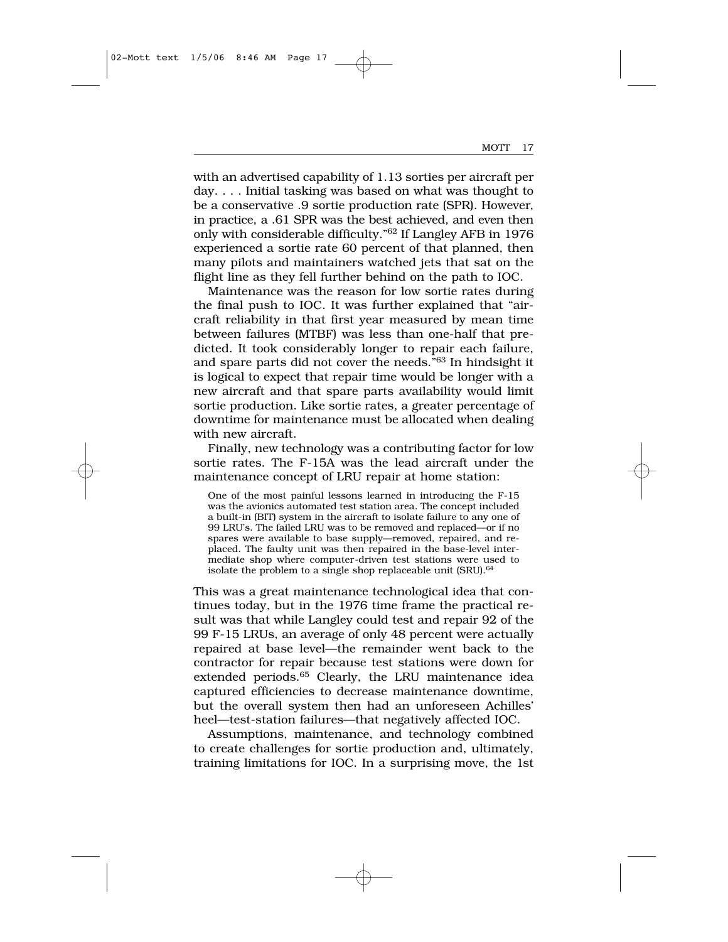with an advertised capability of 1.13 sorties per aircraft per day. . . . Initial tasking was based on what was thought to be a conservative .9 sortie production rate (SPR). However, in practice, a .61 SPR was the best achieved, and even then only with considerable difficulty."62 If Langley AFB in 1976 experienced a sortie rate 60 percent of that planned, then many pilots and maintainers watched jets that sat on the flight line as they fell further behind on the path to IOC.

Maintenance was the reason for low sortie rates during the final push to IOC. It was further explained that "aircraft reliability in that first year measured by mean time between failures (MTBF) was less than one-half that predicted. It took considerably longer to repair each failure, and spare parts did not cover the needs."63 In hindsight it is logical to expect that repair time would be longer with a new aircraft and that spare parts availability would limit sortie production. Like sortie rates, a greater percentage of downtime for maintenance must be allocated when dealing with new aircraft.

Finally, new technology was a contributing factor for low sortie rates. The F-15A was the lead aircraft under the maintenance concept of LRU repair at home station:

One of the most painful lessons learned in introducing the F-15 was the avionics automated test station area. The concept included a built-in (BIT) system in the aircraft to isolate failure to any one of 99 LRU's. The failed LRU was to be removed and replaced—or if no spares were available to base supply—removed, repaired, and replaced. The faulty unit was then repaired in the base-level intermediate shop where computer-driven test stations were used to isolate the problem to a single shop replaceable unit (SRU).<sup>64</sup>

This was a great maintenance technological idea that continues today, but in the 1976 time frame the practical result was that while Langley could test and repair 92 of the 99 F-15 LRUs, an average of only 48 percent were actually repaired at base level—the remainder went back to the contractor for repair because test stations were down for extended periods.<sup>65</sup> Clearly, the LRU maintenance idea captured efficiencies to decrease maintenance downtime, but the overall system then had an unforeseen Achilles' heel—test-station failures—that negatively affected IOC.

Assumptions, maintenance, and technology combined to create challenges for sortie production and, ultimately, training limitations for IOC. In a surprising move, the 1st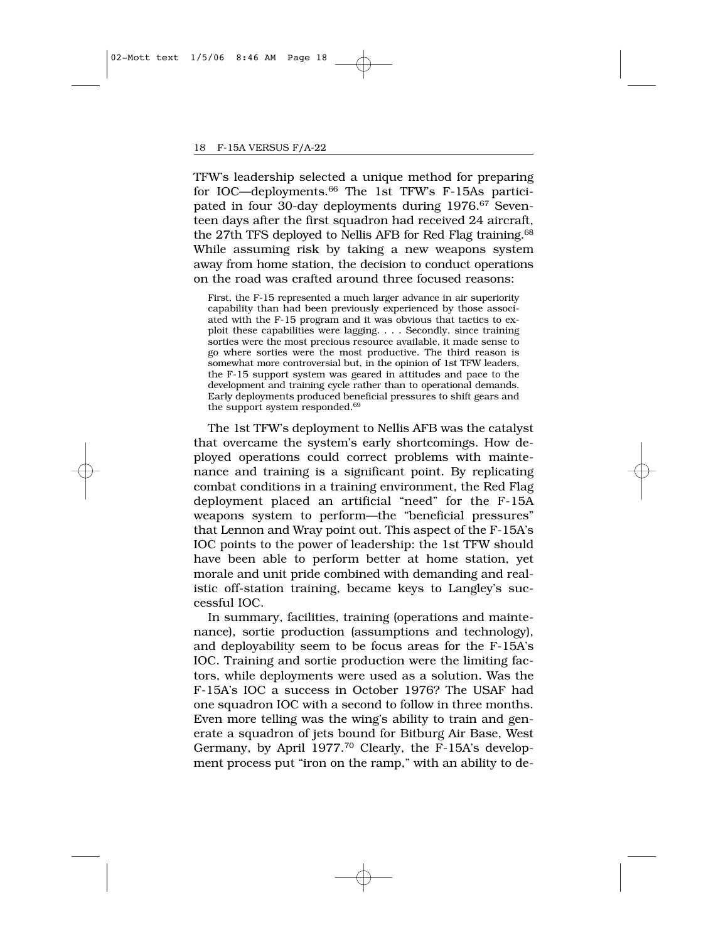TFW's leadership selected a unique method for preparing for IOC—deployments.66 The 1st TFW's F-15As participated in four 30-day deployments during 1976.<sup>67</sup> Seventeen days after the first squadron had received 24 aircraft, the 27th TFS deployed to Nellis AFB for Red Flag training.<sup>68</sup> While assuming risk by taking a new weapons system away from home station, the decision to conduct operations on the road was crafted around three focused reasons:

First, the F-15 represented a much larger advance in air superiority capability than had been previously experienced by those associated with the F-15 program and it was obvious that tactics to exploit these capabilities were lagging. . . . Secondly, since training sorties were the most precious resource available, it made sense to go where sorties were the most productive. The third reason is somewhat more controversial but, in the opinion of 1st TFW leaders, the F-15 support system was geared in attitudes and pace to the development and training cycle rather than to operational demands. Early deployments produced beneficial pressures to shift gears and the support system responded.69

The 1st TFW's deployment to Nellis AFB was the catalyst that overcame the system's early shortcomings. How deployed operations could correct problems with maintenance and training is a significant point. By replicating combat conditions in a training environment, the Red Flag deployment placed an artificial "need" for the F-15A weapons system to perform—the "beneficial pressures" that Lennon and Wray point out. This aspect of the F-15A's IOC points to the power of leadership: the 1st TFW should have been able to perform better at home station, yet morale and unit pride combined with demanding and realistic off-station training, became keys to Langley's successful IOC.

In summary, facilities, training (operations and maintenance), sortie production (assumptions and technology), and deployability seem to be focus areas for the F-15A's IOC. Training and sortie production were the limiting factors, while deployments were used as a solution. Was the F-15A's IOC a success in October 1976? The USAF had one squadron IOC with a second to follow in three months. Even more telling was the wing's ability to train and generate a squadron of jets bound for Bitburg Air Base, West Germany, by April 1977.<sup>70</sup> Clearly, the F-15A's development process put "iron on the ramp," with an ability to de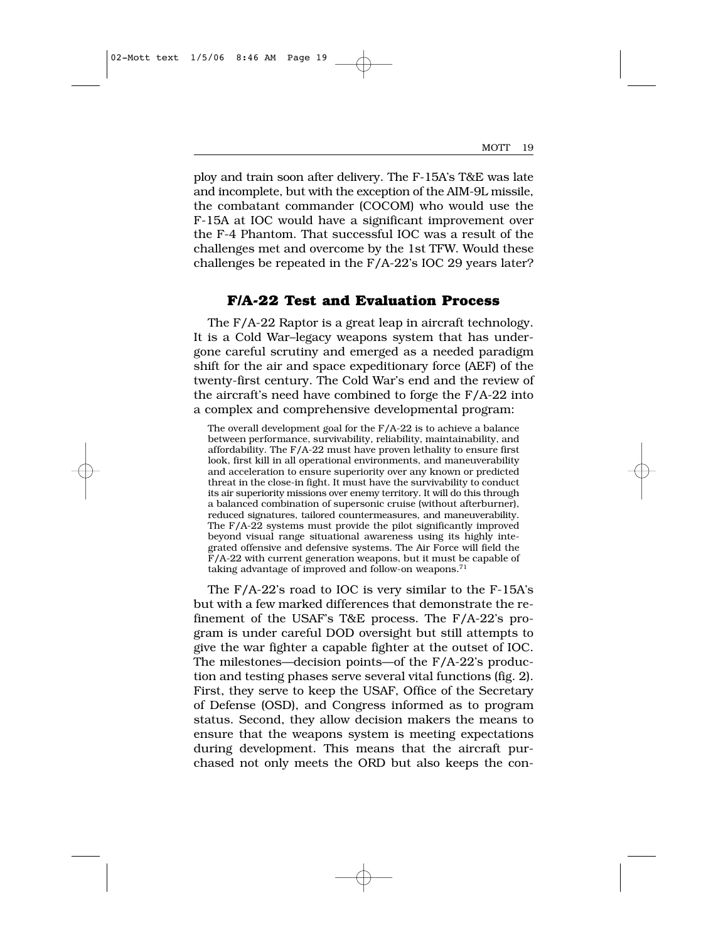ploy and train soon after delivery. The F-15A's T&E was late and incomplete, but with the exception of the AIM-9L missile, the combatant commander (COCOM) who would use the F-15A at IOC would have a significant improvement over the F-4 Phantom. That successful IOC was a result of the challenges met and overcome by the 1st TFW. Would these challenges be repeated in the F/A-22's IOC 29 years later?

## **F/A-22 Test and Evaluation Process**

The F/A-22 Raptor is a great leap in aircraft technology. It is a Cold War–legacy weapons system that has undergone careful scrutiny and emerged as a needed paradigm shift for the air and space expeditionary force (AEF) of the twenty-first century. The Cold War's end and the review of the aircraft's need have combined to forge the F/A-22 into a complex and comprehensive developmental program:

The overall development goal for the F/A-22 is to achieve a balance between performance, survivability, reliability, maintainability, and affordability. The F/A-22 must have proven lethality to ensure first look, first kill in all operational environments, and maneuverability and acceleration to ensure superiority over any known or predicted threat in the close-in fight. It must have the survivability to conduct its air superiority missions over enemy territory. It will do this through a balanced combination of supersonic cruise (without afterburner), reduced signatures, tailored countermeasures, and maneuverability. The F/A-22 systems must provide the pilot significantly improved beyond visual range situational awareness using its highly integrated offensive and defensive systems. The Air Force will field the F/A-22 with current generation weapons, but it must be capable of taking advantage of improved and follow-on weapons.<sup>71</sup>

The F/A-22's road to IOC is very similar to the F-15A's but with a few marked differences that demonstrate the refinement of the USAF's T&E process. The F/A-22's program is under careful DOD oversight but still attempts to give the war fighter a capable fighter at the outset of IOC. The milestones—decision points—of the F/A-22's production and testing phases serve several vital functions (fig. 2). First, they serve to keep the USAF, Office of the Secretary of Defense (OSD), and Congress informed as to program status. Second, they allow decision makers the means to ensure that the weapons system is meeting expectations during development. This means that the aircraft purchased not only meets the ORD but also keeps the con-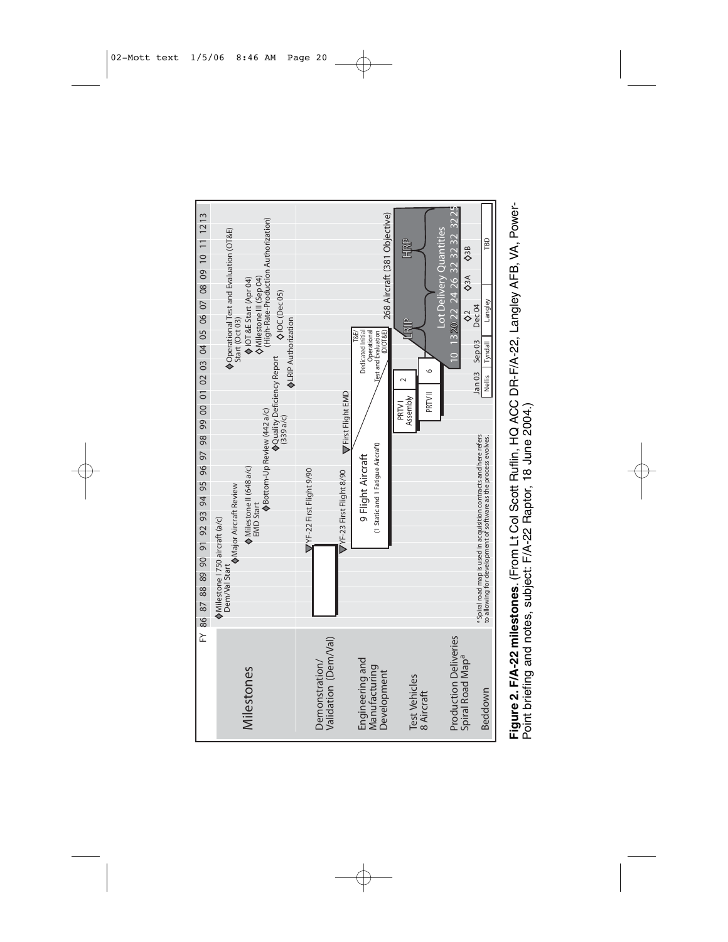

Figure 2. F/A-22 milestones. (From Lt Col Scott Ruflin, HQ ACC DR-F/A-22, Langley AFB, VA, Power-**Figure 2. F/A-22 milestones**. (From Lt Col Scott Ruflin, HQ ACC DR-F/A-22, Langley AFB, VA, Power-Point briefing and notes, subject: F/A-22 Raptor, 18 June 2004.) Point briefing and notes, subject: F/A-22 Raptor, 18 June 2004.)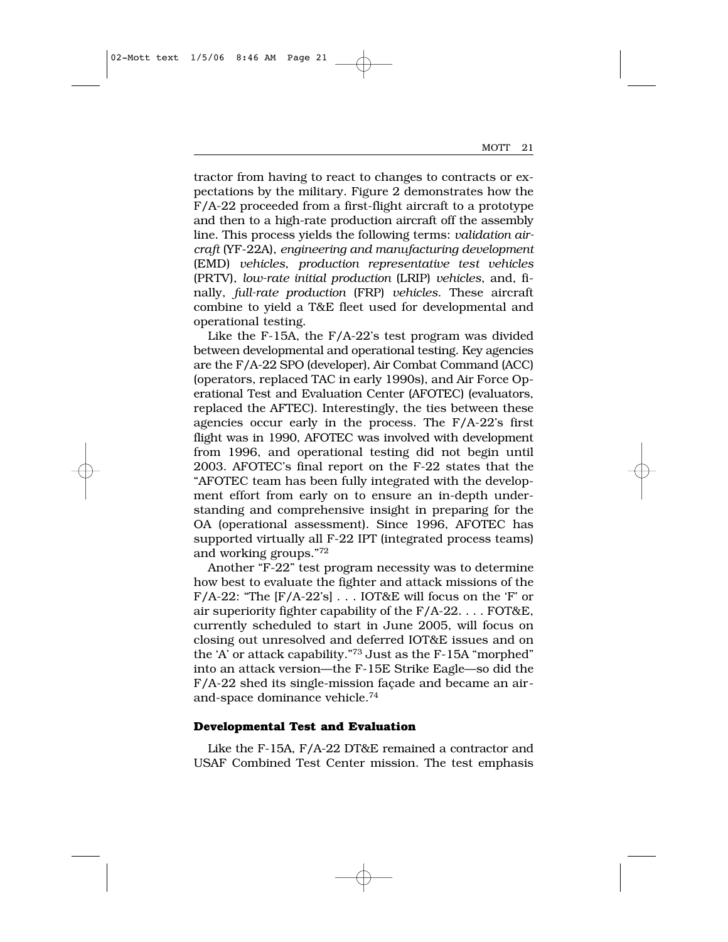tractor from having to react to changes to contracts or expectations by the military. Figure 2 demonstrates how the F/A-22 proceeded from a first-flight aircraft to a prototype and then to a high-rate production aircraft off the assembly line. This process yields the following terms: *validation aircraft* (YF-22A), *engineering and manufacturing development* (EMD) *vehicles*, *production representative test vehicles* (PRTV), *low-rate initial production* (LRIP) *vehicles*, and, finally, *full-rate production* (FRP) *vehicles*. These aircraft combine to yield a T&E fleet used for developmental and operational testing.

Like the F-15A, the F/A-22's test program was divided between developmental and operational testing. Key agencies are the F/A-22 SPO (developer), Air Combat Command (ACC) (operators, replaced TAC in early 1990s), and Air Force Operational Test and Evaluation Center (AFOTEC) (evaluators, replaced the AFTEC). Interestingly, the ties between these agencies occur early in the process. The F/A-22's first flight was in 1990, AFOTEC was involved with development from 1996, and operational testing did not begin until 2003. AFOTEC's final report on the F-22 states that the "AFOTEC team has been fully integrated with the development effort from early on to ensure an in-depth understanding and comprehensive insight in preparing for the OA (operational assessment). Since 1996, AFOTEC has supported virtually all F-22 IPT (integrated process teams) and working groups."72

Another "F-22" test program necessity was to determine how best to evaluate the fighter and attack missions of the F/A-22: "The [F/A-22's] . . . IOT&E will focus on the 'F' or air superiority fighter capability of the  $F/A-22$ .... FOT&E, currently scheduled to start in June 2005, will focus on closing out unresolved and deferred IOT&E issues and on the 'A' or attack capability."73 Just as the F-15A "morphed" into an attack version—the F-15E Strike Eagle—so did the F/A-22 shed its single-mission façade and became an airand-space dominance vehicle.74

#### **Developmental Test and Evaluation**

Like the F-15A, F/A-22 DT&E remained a contractor and USAF Combined Test Center mission. The test emphasis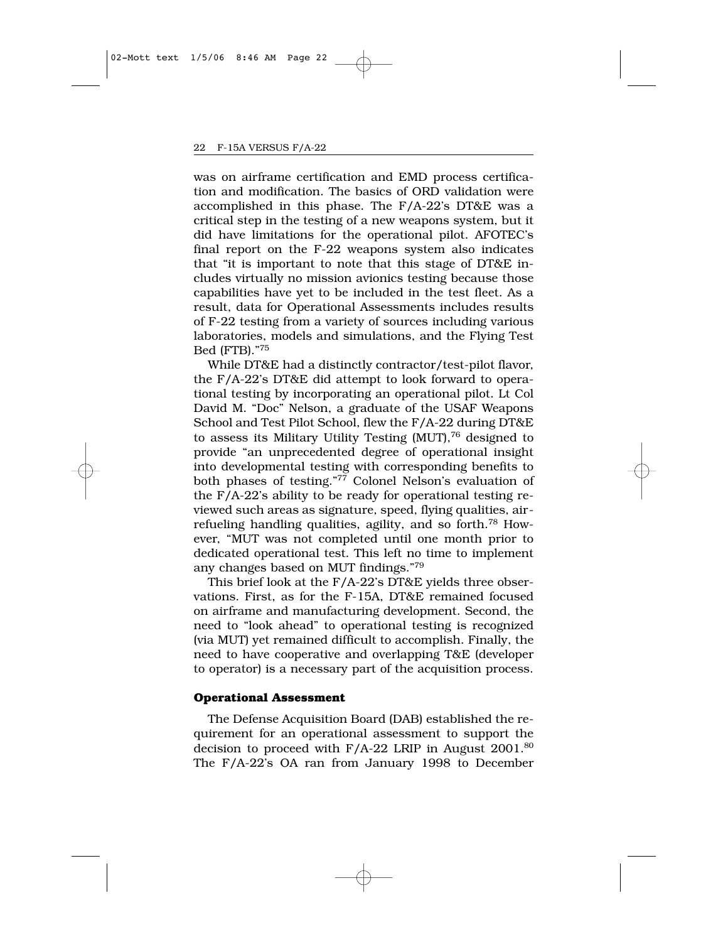was on airframe certification and EMD process certification and modification. The basics of ORD validation were accomplished in this phase. The F/A-22's DT&E was a critical step in the testing of a new weapons system, but it did have limitations for the operational pilot. AFOTEC's final report on the F-22 weapons system also indicates that "it is important to note that this stage of DT&E includes virtually no mission avionics testing because those capabilities have yet to be included in the test fleet. As a result, data for Operational Assessments includes results of F-22 testing from a variety of sources including various laboratories, models and simulations, and the Flying Test Bed (FTB)."75

While DT&E had a distinctly contractor/test-pilot flavor, the F/A-22's DT&E did attempt to look forward to operational testing by incorporating an operational pilot. Lt Col David M. "Doc" Nelson, a graduate of the USAF Weapons School and Test Pilot School, flew the F/A-22 during DT&E to assess its Military Utility Testing (MUT),76 designed to provide "an unprecedented degree of operational insight into developmental testing with corresponding benefits to both phases of testing."77 Colonel Nelson's evaluation of the F/A-22's ability to be ready for operational testing reviewed such areas as signature, speed, flying qualities, airrefueling handling qualities, agility, and so forth.78 However, "MUT was not completed until one month prior to dedicated operational test. This left no time to implement any changes based on MUT findings."79

This brief look at the F/A-22's DT&E yields three observations. First, as for the F-15A, DT&E remained focused on airframe and manufacturing development. Second, the need to "look ahead" to operational testing is recognized (via MUT) yet remained difficult to accomplish. Finally, the need to have cooperative and overlapping T&E (developer to operator) is a necessary part of the acquisition process.

#### **Operational Assessment**

The Defense Acquisition Board (DAB) established the requirement for an operational assessment to support the decision to proceed with F/A-22 LRIP in August 2001.80 The F/A-22's OA ran from January 1998 to December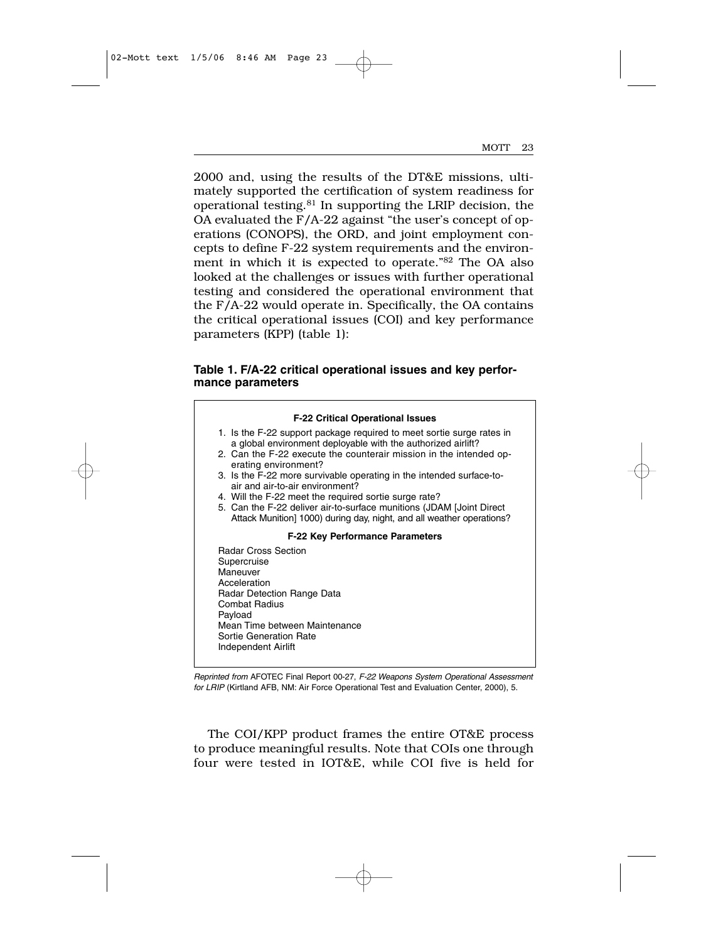2000 and, using the results of the DT&E missions, ultimately supported the certification of system readiness for operational testing.81 In supporting the LRIP decision, the OA evaluated the F/A-22 against "the user's concept of operations (CONOPS), the ORD, and joint employment concepts to define F-22 system requirements and the environment in which it is expected to operate."82 The OA also looked at the challenges or issues with further operational testing and considered the operational environment that the F/A-22 would operate in. Specifically, the OA contains the critical operational issues (COI) and key performance parameters (KPP) (table 1):

### **Table 1. F/A-22 critical operational issues and key performance parameters**



*Reprinted from* AFOTEC Final Report 00-27, *F-22 Weapons System Operational Assessment for LRIP* (Kirtland AFB, NM: Air Force Operational Test and Evaluation Center, 2000), 5.

The COI/KPP product frames the entire OT&E process to produce meaningful results. Note that COIs one through four were tested in IOT&E, while COI five is held for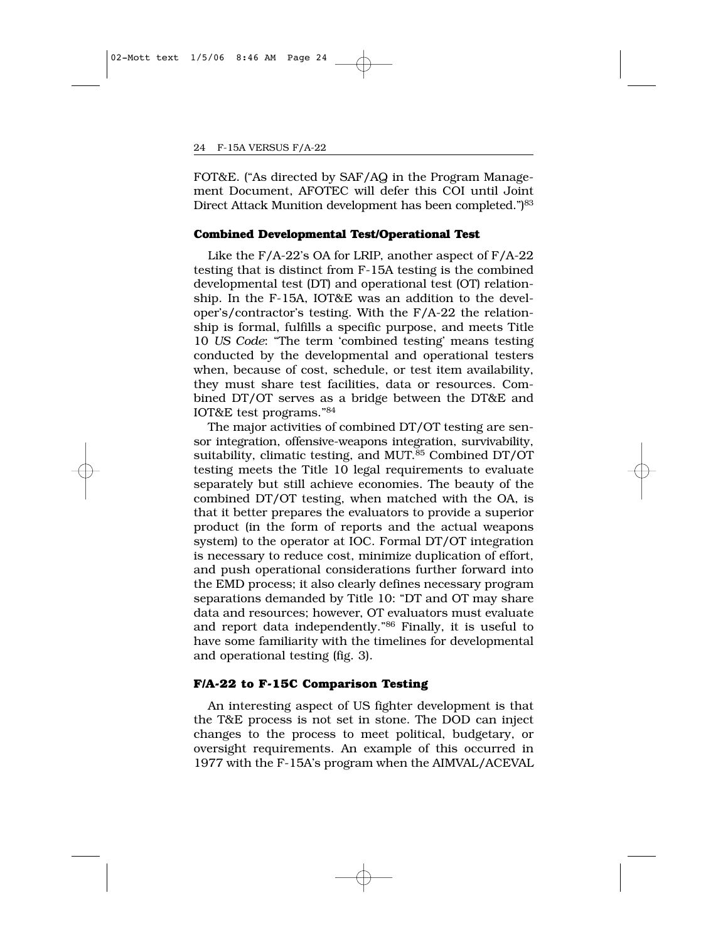FOT&E. ("As directed by SAF/AQ in the Program Management Document, AFOTEC will defer this COI until Joint Direct Attack Munition development has been completed.")<sup>83</sup>

#### **Combined Developmental Test/Operational Test**

Like the F/A-22's OA for LRIP, another aspect of F/A-22 testing that is distinct from F-15A testing is the combined developmental test (DT) and operational test (OT) relationship. In the F-15A, IOT&E was an addition to the developer's/contractor's testing. With the F/A-22 the relationship is formal, fulfills a specific purpose, and meets Title 10 *US Code*: "The term 'combined testing' means testing conducted by the developmental and operational testers when, because of cost, schedule, or test item availability, they must share test facilities, data or resources. Combined DT/OT serves as a bridge between the DT&E and IOT&E test programs."84

The major activities of combined DT/OT testing are sensor integration, offensive-weapons integration, survivability, suitability, climatic testing, and MUT.<sup>85</sup> Combined DT/OT testing meets the Title 10 legal requirements to evaluate separately but still achieve economies. The beauty of the combined DT/OT testing, when matched with the OA, is that it better prepares the evaluators to provide a superior product (in the form of reports and the actual weapons system) to the operator at IOC. Formal DT/OT integration is necessary to reduce cost, minimize duplication of effort, and push operational considerations further forward into the EMD process; it also clearly defines necessary program separations demanded by Title 10: "DT and OT may share data and resources; however, OT evaluators must evaluate and report data independently."86 Finally, it is useful to have some familiarity with the timelines for developmental and operational testing (fig. 3).

#### **F/A-22 to F-15C Comparison Testing**

An interesting aspect of US fighter development is that the T&E process is not set in stone. The DOD can inject changes to the process to meet political, budgetary, or oversight requirements. An example of this occurred in 1977 with the F-15A's program when the AIMVAL/ACEVAL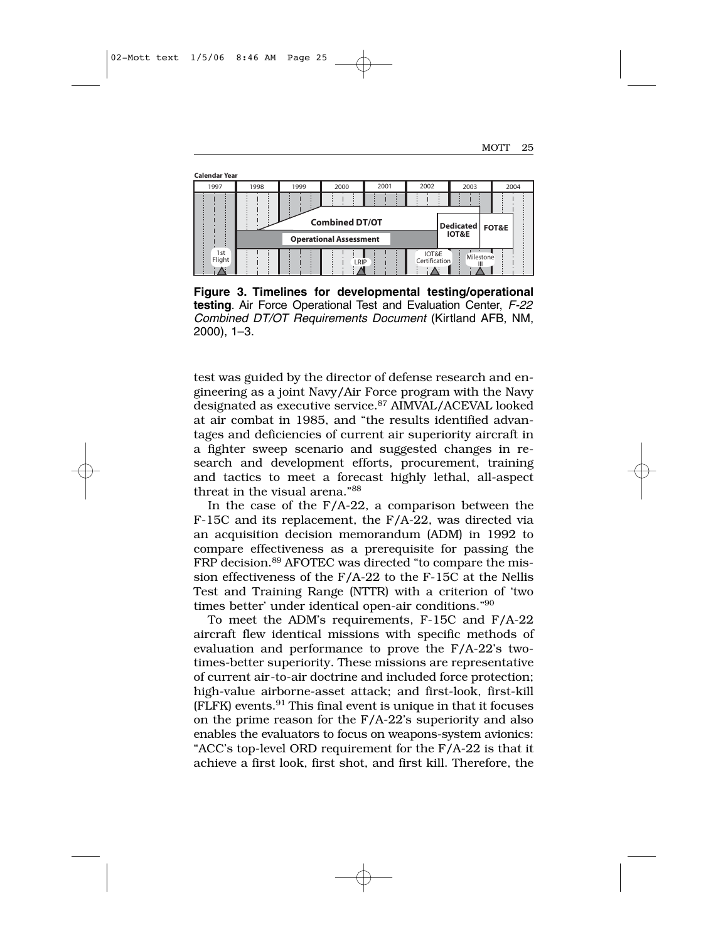**Calendar Year**

| 1997          | 1998 | 1999                                       | 2000                          | 2001 | 2002                   | 2003             | 2004 |
|---------------|------|--------------------------------------------|-------------------------------|------|------------------------|------------------|------|
|               |      | <b>Combined DT/OT</b><br>Dedicated   FOT&E |                               |      |                        |                  |      |
|               |      |                                            | <b>Operational Assessment</b> |      |                        | <b>IOT&amp;E</b> |      |
| 1st<br>Flight |      |                                            | LRIP                          |      | IOT&E<br>Certification | Milestone        |      |

**Figure 3. Timelines for developmental testing/operational testing**. Air Force Operational Test and Evaluation Center, *F-22 Combined DT/OT Requirements Document* (Kirtland AFB, NM, 2000), 1–3.

test was guided by the director of defense research and engineering as a joint Navy/Air Force program with the Navy designated as executive service.<sup>87</sup> AIMVAL/ACEVAL looked at air combat in 1985, and "the results identified advantages and deficiencies of current air superiority aircraft in a fighter sweep scenario and suggested changes in research and development efforts, procurement, training and tactics to meet a forecast highly lethal, all-aspect threat in the visual arena."88

In the case of the  $F/A-22$ , a comparison between the F-15C and its replacement, the F/A-22, was directed via an acquisition decision memorandum (ADM) in 1992 to compare effectiveness as a prerequisite for passing the FRP decision.<sup>89</sup> AFOTEC was directed "to compare the mission effectiveness of the F/A-22 to the F-15C at the Nellis Test and Training Range (NTTR) with a criterion of 'two times better' under identical open-air conditions."90

To meet the ADM's requirements, F-15C and F/A-22 aircraft flew identical missions with specific methods of evaluation and performance to prove the F/A-22's twotimes-better superiority. These missions are representative of current air-to-air doctrine and included force protection; high-value airborne-asset attack; and first-look, first-kill (FLFK) events.91 This final event is unique in that it focuses on the prime reason for the F/A-22's superiority and also enables the evaluators to focus on weapons-system avionics: "ACC's top-level ORD requirement for the F/A-22 is that it achieve a first look, first shot, and first kill. Therefore, the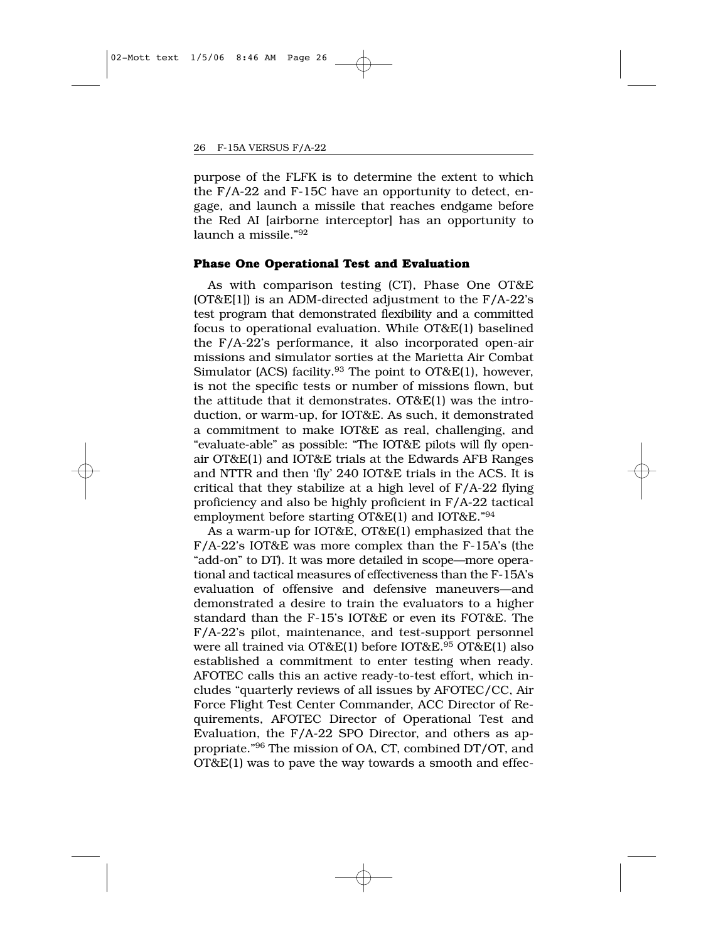purpose of the FLFK is to determine the extent to which the F/A-22 and F-15C have an opportunity to detect, engage, and launch a missile that reaches endgame before the Red AI [airborne interceptor] has an opportunity to  $l$ aunch a missile." $92$ 

#### **Phase One Operational Test and Evaluation**

As with comparison testing (CT), Phase One OT&E  $(OT&E[1])$  is an ADM-directed adjustment to the  $F/A-22$ 's test program that demonstrated flexibility and a committed focus to operational evaluation. While OT&E(1) baselined the F/A-22's performance, it also incorporated open-air missions and simulator sorties at the Marietta Air Combat Simulator (ACS) facility.<sup>93</sup> The point to OT&E(1), however, is not the specific tests or number of missions flown, but the attitude that it demonstrates. OT&E(1) was the introduction, or warm-up, for IOT&E. As such, it demonstrated a commitment to make IOT&E as real, challenging, and "evaluate-able" as possible: "The IOT&E pilots will fly openair OT&E(1) and IOT&E trials at the Edwards AFB Ranges and NTTR and then 'fly' 240 IOT&E trials in the ACS. It is critical that they stabilize at a high level of F/A-22 flying proficiency and also be highly proficient in F/A-22 tactical employment before starting OT&E(1) and IOT&E."94

As a warm-up for IOT&E, OT&E(1) emphasized that the F/A-22's IOT&E was more complex than the F-15A's (the "add-on" to DT). It was more detailed in scope—more operational and tactical measures of effectiveness than the F-15A's evaluation of offensive and defensive maneuvers—and demonstrated a desire to train the evaluators to a higher standard than the F-15's IOT&E or even its FOT&E. The F/A-22's pilot, maintenance, and test-support personnel were all trained via OT&E(1) before IOT&E.<sup>95</sup> OT&E(1) also established a commitment to enter testing when ready. AFOTEC calls this an active ready-to-test effort, which includes "quarterly reviews of all issues by AFOTEC/CC, Air Force Flight Test Center Commander, ACC Director of Requirements, AFOTEC Director of Operational Test and Evaluation, the F/A-22 SPO Director, and others as appropriate."96 The mission of OA, CT, combined DT/OT, and OT&E(1) was to pave the way towards a smooth and effec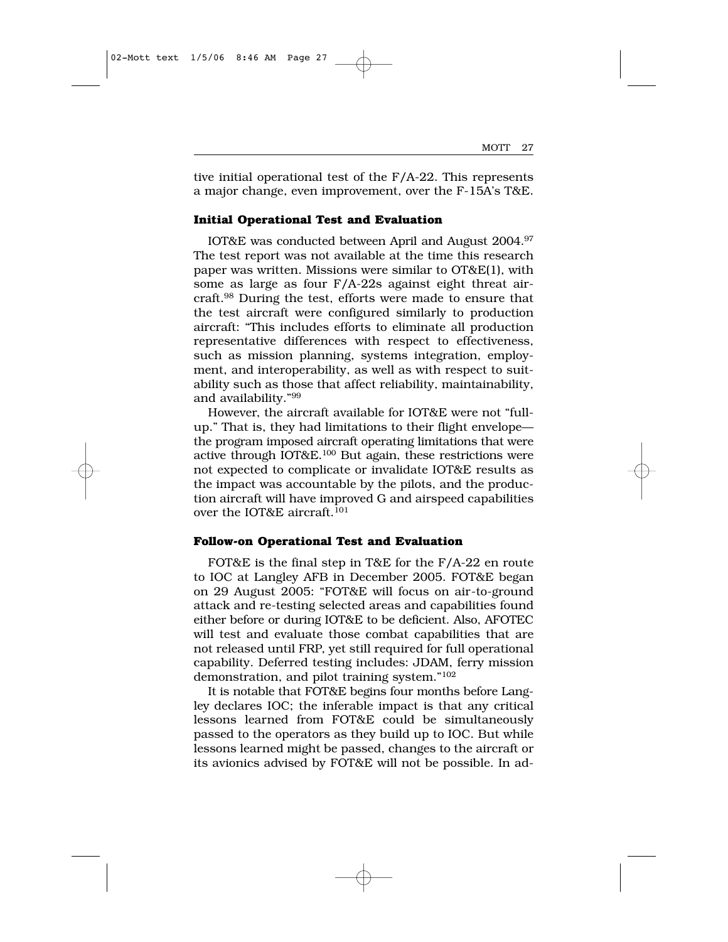tive initial operational test of the F/A-22. This represents a major change, even improvement, over the F-15A's T&E.

#### **Initial Operational Test and Evaluation**

IOT&E was conducted between April and August 2004.97 The test report was not available at the time this research paper was written. Missions were similar to OT&E(1), with some as large as four F/A-22s against eight threat aircraft.98 During the test, efforts were made to ensure that the test aircraft were configured similarly to production aircraft: "This includes efforts to eliminate all production representative differences with respect to effectiveness, such as mission planning, systems integration, employment, and interoperability, as well as with respect to suitability such as those that affect reliability, maintainability, and availability."99

However, the aircraft available for IOT&E were not "fullup." That is, they had limitations to their flight envelope the program imposed aircraft operating limitations that were active through IOT&E.100 But again, these restrictions were not expected to complicate or invalidate IOT&E results as the impact was accountable by the pilots, and the production aircraft will have improved G and airspeed capabilities over the IOT&E aircraft.<sup>101</sup>

#### **Follow-on Operational Test and Evaluation**

FOT&E is the final step in T&E for the F/A-22 en route to IOC at Langley AFB in December 2005. FOT&E began on 29 August 2005: "FOT&E will focus on air-to-ground attack and re-testing selected areas and capabilities found either before or during IOT&E to be deficient. Also, AFOTEC will test and evaluate those combat capabilities that are not released until FRP, yet still required for full operational capability. Deferred testing includes: JDAM, ferry mission demonstration, and pilot training system."102

It is notable that FOT&E begins four months before Langley declares IOC; the inferable impact is that any critical lessons learned from FOT&E could be simultaneously passed to the operators as they build up to IOC. But while lessons learned might be passed, changes to the aircraft or its avionics advised by FOT&E will not be possible. In ad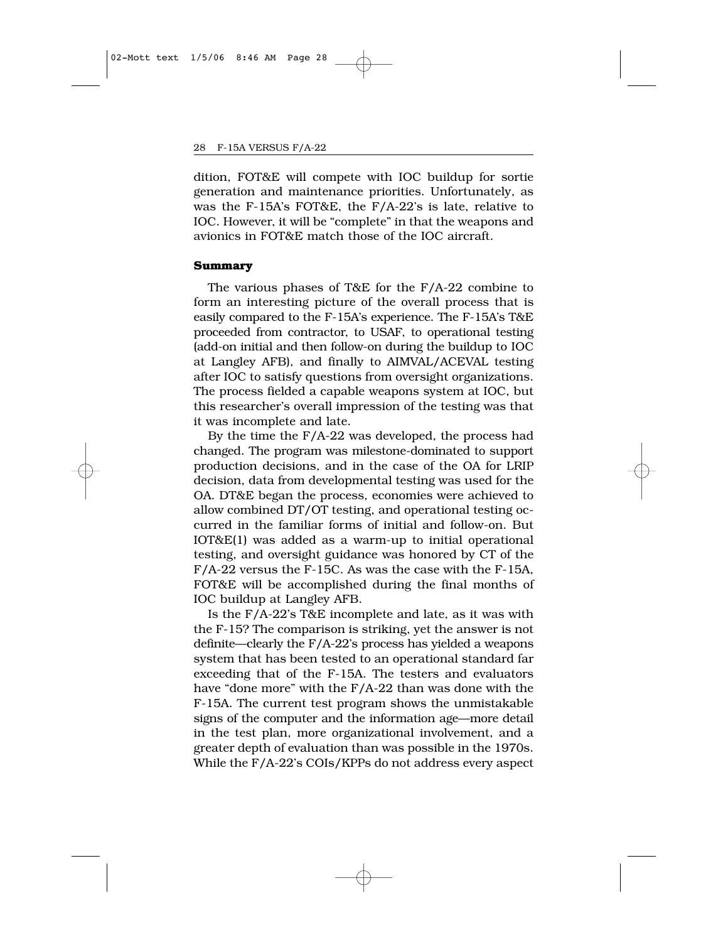dition, FOT&E will compete with IOC buildup for sortie generation and maintenance priorities. Unfortunately, as was the F-15A's FOT&E, the F/A-22's is late, relative to IOC. However, it will be "complete" in that the weapons and avionics in FOT&E match those of the IOC aircraft.

#### **Summary**

The various phases of T&E for the F/A-22 combine to form an interesting picture of the overall process that is easily compared to the F-15A's experience. The F-15A's T&E proceeded from contractor, to USAF, to operational testing (add-on initial and then follow-on during the buildup to IOC at Langley AFB), and finally to AIMVAL/ACEVAL testing after IOC to satisfy questions from oversight organizations. The process fielded a capable weapons system at IOC, but this researcher's overall impression of the testing was that it was incomplete and late.

By the time the F/A-22 was developed, the process had changed. The program was milestone-dominated to support production decisions, and in the case of the OA for LRIP decision, data from developmental testing was used for the OA. DT&E began the process, economies were achieved to allow combined DT/OT testing, and operational testing occurred in the familiar forms of initial and follow-on. But IOT&E(1) was added as a warm-up to initial operational testing, and oversight guidance was honored by CT of the F/A-22 versus the F-15C. As was the case with the F-15A, FOT&E will be accomplished during the final months of IOC buildup at Langley AFB.

Is the F/A-22's T&E incomplete and late, as it was with the F-15? The comparison is striking, yet the answer is not definite—clearly the F/A-22's process has yielded a weapons system that has been tested to an operational standard far exceeding that of the F-15A. The testers and evaluators have "done more" with the F/A-22 than was done with the F-15A. The current test program shows the unmistakable signs of the computer and the information age—more detail in the test plan, more organizational involvement, and a greater depth of evaluation than was possible in the 1970s. While the F/A-22's COIs/KPPs do not address every aspect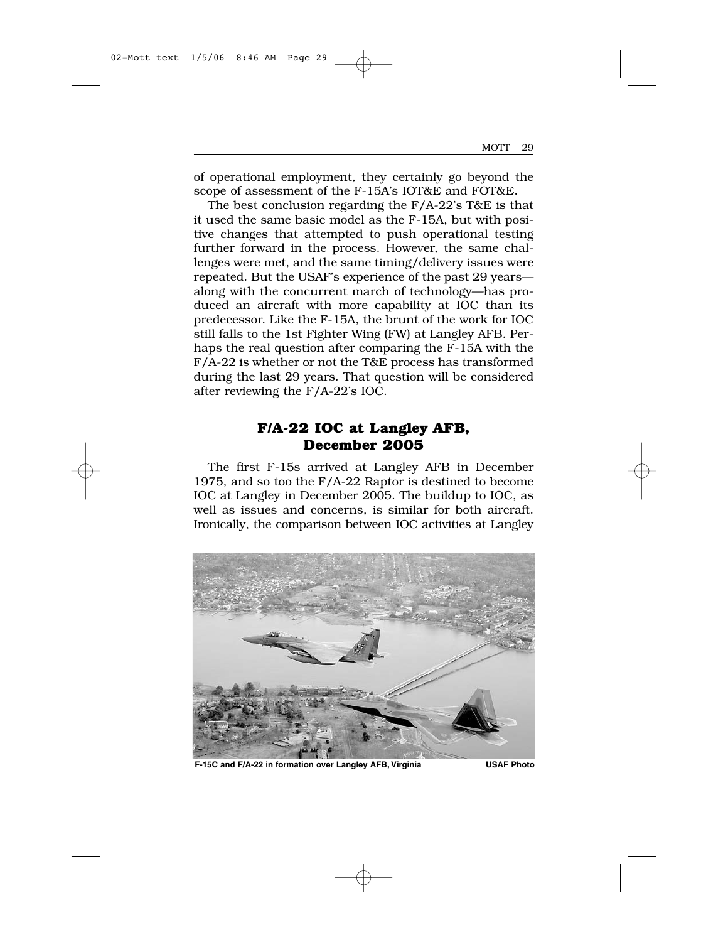of operational employment, they certainly go beyond the scope of assessment of the F-15A's IOT&E and FOT&E.

The best conclusion regarding the F/A-22's T&E is that it used the same basic model as the F-15A, but with positive changes that attempted to push operational testing further forward in the process. However, the same challenges were met, and the same timing/delivery issues were repeated. But the USAF's experience of the past 29 years along with the concurrent march of technology—has produced an aircraft with more capability at IOC than its predecessor. Like the F-15A, the brunt of the work for IOC still falls to the 1st Fighter Wing (FW) at Langley AFB. Perhaps the real question after comparing the F-15A with the F/A-22 is whether or not the T&E process has transformed during the last 29 years. That question will be considered after reviewing the F/A-22's IOC.

## **F/A-22 IOC at Langley AFB, December 2005**

The first F-15s arrived at Langley AFB in December 1975, and so too the F/A-22 Raptor is destined to become IOC at Langley in December 2005. The buildup to IOC, as well as issues and concerns, is similar for both aircraft. Ironically, the comparison between IOC activities at Langley



**F-15C and F/A-22 in formation over Langley AFB, Virginia USAF Photo**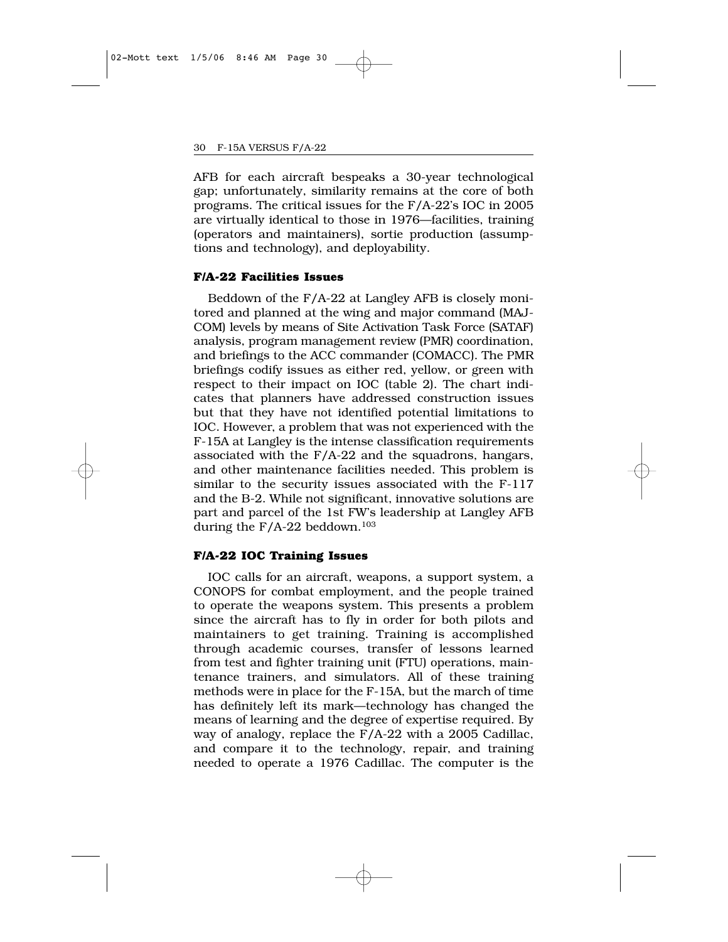AFB for each aircraft bespeaks a 30-year technological gap; unfortunately, similarity remains at the core of both programs. The critical issues for the F/A-22's IOC in 2005 are virtually identical to those in 1976—facilities, training (operators and maintainers), sortie production (assumptions and technology), and deployability.

#### **F/A-22 Facilities Issues**

Beddown of the F/A-22 at Langley AFB is closely monitored and planned at the wing and major command (MAJ-COM) levels by means of Site Activation Task Force (SATAF) analysis, program management review (PMR) coordination, and briefings to the ACC commander (COMACC). The PMR briefings codify issues as either red, yellow, or green with respect to their impact on IOC (table 2). The chart indicates that planners have addressed construction issues but that they have not identified potential limitations to IOC. However, a problem that was not experienced with the F-15A at Langley is the intense classification requirements associated with the F/A-22 and the squadrons, hangars, and other maintenance facilities needed. This problem is similar to the security issues associated with the F-117 and the B-2. While not significant, innovative solutions are part and parcel of the 1st FW's leadership at Langley AFB during the  $F/A-22$  beddown.<sup>103</sup>

#### **F/A-22 IOC Training Issues**

IOC calls for an aircraft, weapons, a support system, a CONOPS for combat employment, and the people trained to operate the weapons system. This presents a problem since the aircraft has to fly in order for both pilots and maintainers to get training. Training is accomplished through academic courses, transfer of lessons learned from test and fighter training unit (FTU) operations, maintenance trainers, and simulators. All of these training methods were in place for the F-15A, but the march of time has definitely left its mark—technology has changed the means of learning and the degree of expertise required. By way of analogy, replace the F/A-22 with a 2005 Cadillac, and compare it to the technology, repair, and training needed to operate a 1976 Cadillac. The computer is the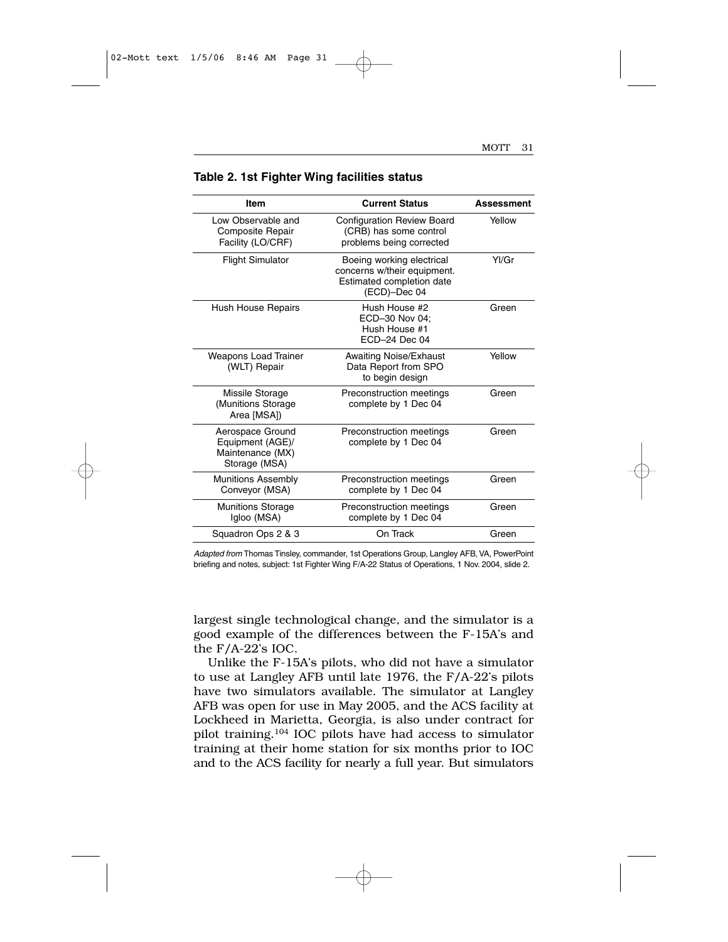| Item                                                                      | <b>Current Status</b>                                                                                 | <b>Assessment</b> |
|---------------------------------------------------------------------------|-------------------------------------------------------------------------------------------------------|-------------------|
| Low Observable and<br>Composite Repair<br>Facility (LO/CRF)               | <b>Configuration Review Board</b><br>(CRB) has some control<br>problems being corrected               | Yellow            |
| <b>Flight Simulator</b>                                                   | Boeing working electrical<br>concerns w/their equipment.<br>Estimated completion date<br>(ECD)-Dec 04 | Yl/Gr             |
| <b>Hush House Repairs</b>                                                 | Hush House #2<br>ECD-30 Nov 04:<br>Hush House #1<br>ECD-24 Dec 04                                     | Green             |
| <b>Weapons Load Trainer</b><br>(WLT) Repair                               | <b>Awaiting Noise/Exhaust</b><br>Data Report from SPO<br>to begin design                              | Yellow            |
| Missile Storage<br>(Munitions Storage<br>Area [MSA])                      | Preconstruction meetings<br>complete by 1 Dec 04                                                      | Green             |
| Aerospace Ground<br>Equipment (AGE)/<br>Maintenance (MX)<br>Storage (MSA) | Preconstruction meetings<br>complete by 1 Dec 04                                                      | Green             |
| <b>Munitions Assembly</b><br>Conveyor (MSA)                               | Preconstruction meetings<br>complete by 1 Dec 04                                                      | Green             |
| <b>Munitions Storage</b><br>Igloo (MSA)                                   | Preconstruction meetings<br>complete by 1 Dec 04                                                      | Green             |
| Squadron Ops 2 & 3                                                        | On Track                                                                                              | Green             |

#### **Table 2. 1st Fighter Wing facilities status**

*Adapted from* Thomas Tinsley, commander, 1st Operations Group, Langley AFB, VA, PowerPoint briefing and notes, subject: 1st Fighter Wing F/A-22 Status of Operations, 1 Nov. 2004, slide 2.

largest single technological change, and the simulator is a good example of the differences between the F-15A's and the F/A-22's IOC.

Unlike the F-15A's pilots, who did not have a simulator to use at Langley AFB until late 1976, the F/A-22's pilots have two simulators available. The simulator at Langley AFB was open for use in May 2005, and the ACS facility at Lockheed in Marietta, Georgia, is also under contract for pilot training.104 IOC pilots have had access to simulator training at their home station for six months prior to IOC and to the ACS facility for nearly a full year. But simulators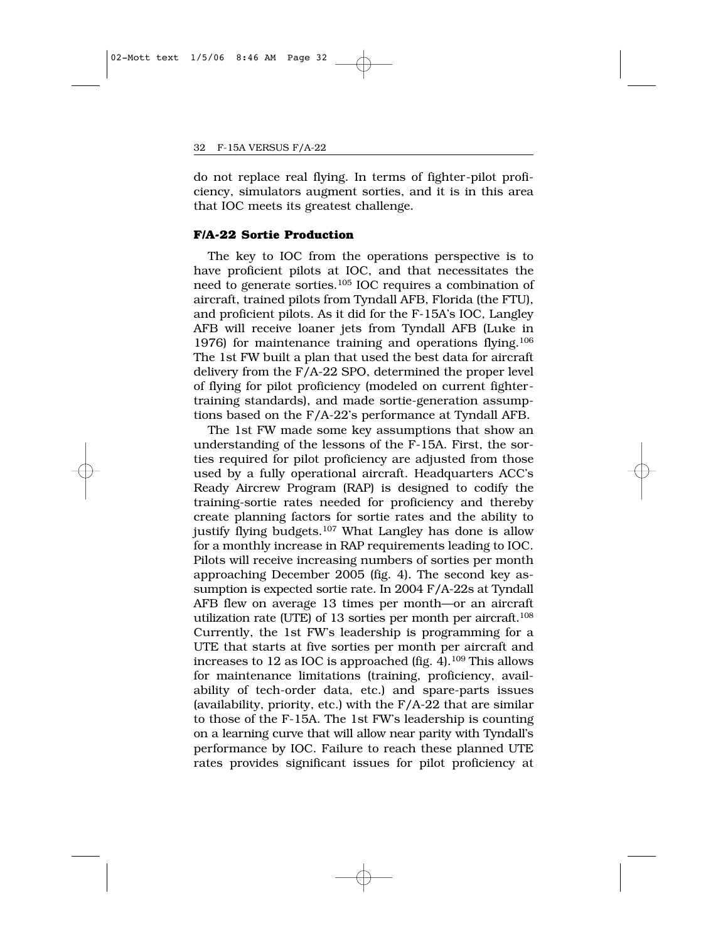do not replace real flying. In terms of fighter-pilot proficiency, simulators augment sorties, and it is in this area that IOC meets its greatest challenge.

#### **F/A-22 Sortie Production**

The key to IOC from the operations perspective is to have proficient pilots at IOC, and that necessitates the need to generate sorties.105 IOC requires a combination of aircraft, trained pilots from Tyndall AFB, Florida (the FTU), and proficient pilots. As it did for the F-15A's IOC, Langley AFB will receive loaner jets from Tyndall AFB (Luke in 1976) for maintenance training and operations flying.106 The 1st FW built a plan that used the best data for aircraft delivery from the F/A-22 SPO, determined the proper level of flying for pilot proficiency (modeled on current fightertraining standards), and made sortie-generation assumptions based on the F/A-22's performance at Tyndall AFB.

The 1st FW made some key assumptions that show an understanding of the lessons of the F-15A. First, the sorties required for pilot proficiency are adjusted from those used by a fully operational aircraft. Headquarters ACC's Ready Aircrew Program (RAP) is designed to codify the training-sortie rates needed for proficiency and thereby create planning factors for sortie rates and the ability to justify flying budgets.107 What Langley has done is allow for a monthly increase in RAP requirements leading to IOC. Pilots will receive increasing numbers of sorties per month approaching December 2005 (fig. 4). The second key assumption is expected sortie rate. In 2004 F/A-22s at Tyndall AFB flew on average 13 times per month—or an aircraft utilization rate (UTE) of 13 sorties per month per aircraft.<sup>108</sup> Currently, the 1st FW's leadership is programming for a UTE that starts at five sorties per month per aircraft and increases to 12 as IOC is approached (fig. 4).<sup>109</sup> This allows for maintenance limitations (training, proficiency, availability of tech-order data, etc.) and spare-parts issues (availability, priority, etc.) with the F/A-22 that are similar to those of the F-15A. The 1st FW's leadership is counting on a learning curve that will allow near parity with Tyndall's performance by IOC. Failure to reach these planned UTE rates provides significant issues for pilot proficiency at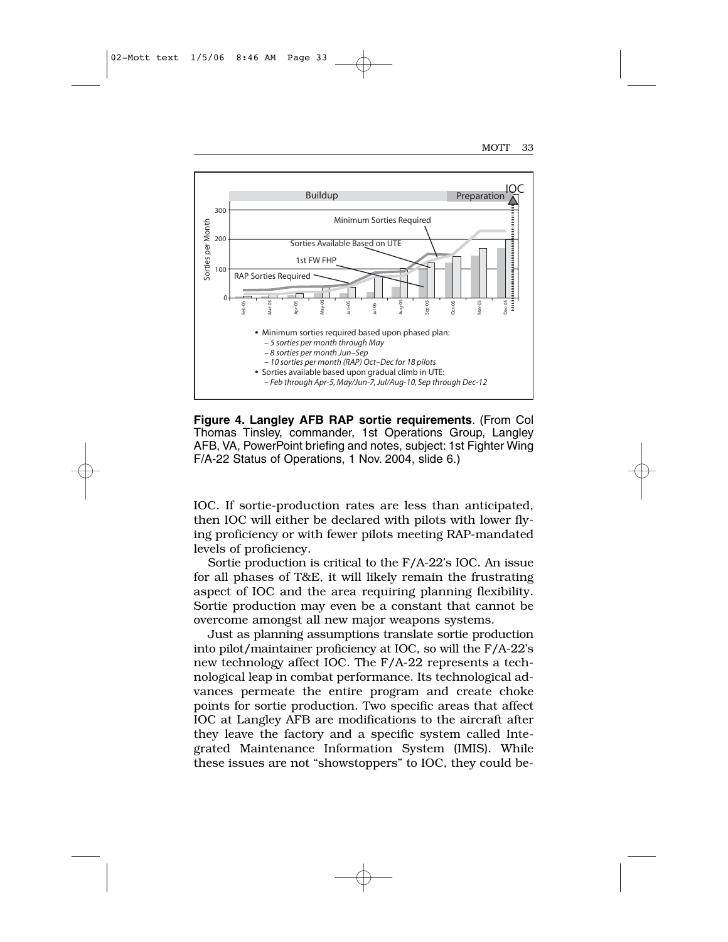

**Figure 4. Langley AFB RAP sortie requirements**. (From Col Thomas Tinsley, commander, 1st Operations Group, Langley AFB, VA, PowerPoint briefing and notes, subject: 1st Fighter Wing F/A-22 Status of Operations, 1 Nov. 2004, slide 6.)

IOC. If sortie-production rates are less than anticipated, then IOC will either be declared with pilots with lower flying proficiency or with fewer pilots meeting RAP-mandated levels of proficiency.

Sortie production is critical to the F/A-22's IOC. An issue for all phases of T&E, it will likely remain the frustrating aspect of IOC and the area requiring planning flexibility. Sortie production may even be a constant that cannot be overcome amongst all new major weapons systems.

Just as planning assumptions translate sortie production into pilot/maintainer proficiency at IOC, so will the F/A-22's new technology affect IOC. The F/A-22 represents a technological leap in combat performance. Its technological advances permeate the entire program and create choke points for sortie production. Two specific areas that affect IOC at Langley AFB are modifications to the aircraft after they leave the factory and a specific system called Integrated Maintenance Information System (IMIS). While these issues are not "showstoppers" to IOC, they could be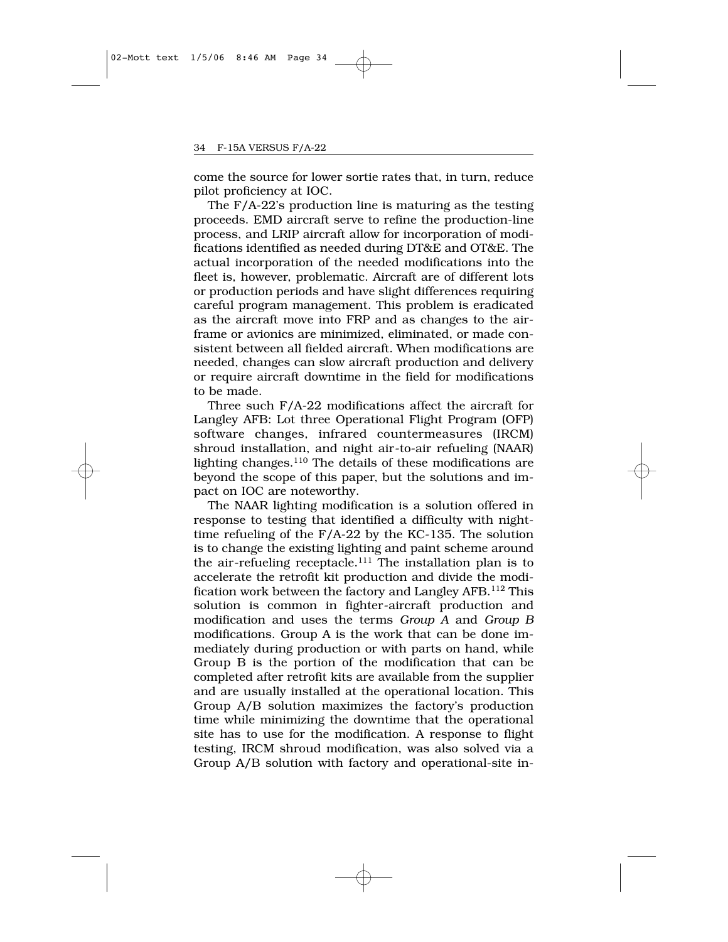come the source for lower sortie rates that, in turn, reduce pilot proficiency at IOC.

The F/A-22's production line is maturing as the testing proceeds. EMD aircraft serve to refine the production-line process, and LRIP aircraft allow for incorporation of modifications identified as needed during DT&E and OT&E. The actual incorporation of the needed modifications into the fleet is, however, problematic. Aircraft are of different lots or production periods and have slight differences requiring careful program management. This problem is eradicated as the aircraft move into FRP and as changes to the airframe or avionics are minimized, eliminated, or made consistent between all fielded aircraft. When modifications are needed, changes can slow aircraft production and delivery or require aircraft downtime in the field for modifications to be made.

Three such F/A-22 modifications affect the aircraft for Langley AFB: Lot three Operational Flight Program (OFP) software changes, infrared countermeasures (IRCM) shroud installation, and night air-to-air refueling (NAAR) lighting changes.<sup>110</sup> The details of these modifications are beyond the scope of this paper, but the solutions and impact on IOC are noteworthy.

The NAAR lighting modification is a solution offered in response to testing that identified a difficulty with nighttime refueling of the F/A-22 by the KC-135. The solution is to change the existing lighting and paint scheme around the air-refueling receptacle.<sup>111</sup> The installation plan is to accelerate the retrofit kit production and divide the modification work between the factory and Langley AFB.112 This solution is common in fighter-aircraft production and modification and uses the terms *Group A* and *Group B* modifications. Group A is the work that can be done immediately during production or with parts on hand, while Group B is the portion of the modification that can be completed after retrofit kits are available from the supplier and are usually installed at the operational location. This Group A/B solution maximizes the factory's production time while minimizing the downtime that the operational site has to use for the modification. A response to flight testing, IRCM shroud modification, was also solved via a Group A/B solution with factory and operational-site in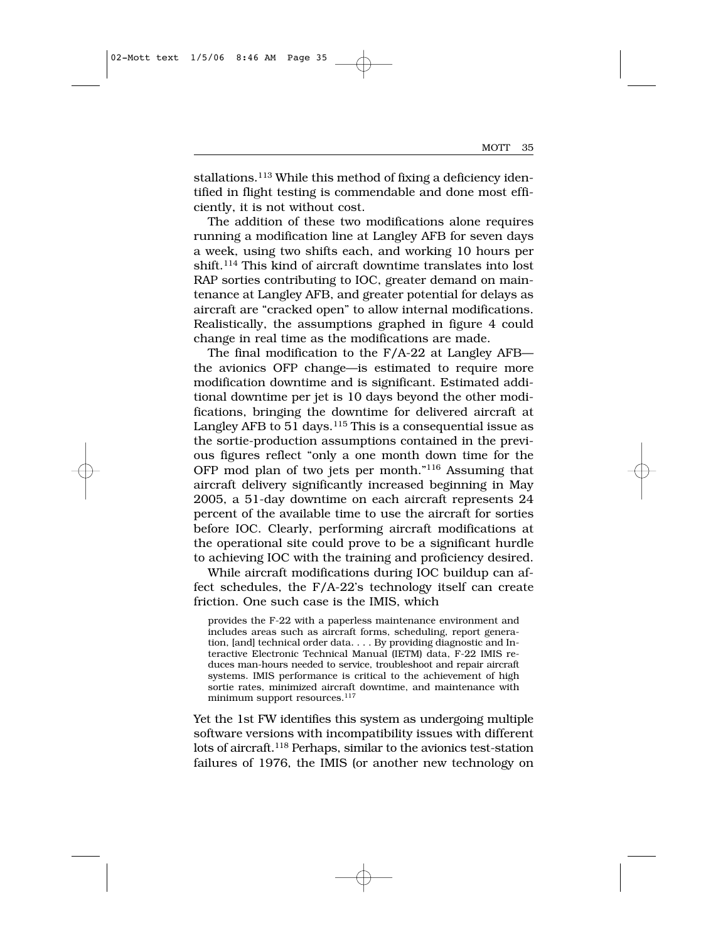stallations.<sup>113</sup> While this method of fixing a deficiency identified in flight testing is commendable and done most efficiently, it is not without cost.

The addition of these two modifications alone requires running a modification line at Langley AFB for seven days a week, using two shifts each, and working 10 hours per shift.<sup>114</sup> This kind of aircraft downtime translates into lost RAP sorties contributing to IOC, greater demand on maintenance at Langley AFB, and greater potential for delays as aircraft are "cracked open" to allow internal modifications. Realistically, the assumptions graphed in figure 4 could change in real time as the modifications are made.

The final modification to the F/A-22 at Langley AFB the avionics OFP change—is estimated to require more modification downtime and is significant. Estimated additional downtime per jet is 10 days beyond the other modifications, bringing the downtime for delivered aircraft at Langley AFB to 51 days.<sup>115</sup> This is a consequential issue as the sortie-production assumptions contained in the previous figures reflect "only a one month down time for the OFP mod plan of two jets per month."116 Assuming that aircraft delivery significantly increased beginning in May 2005, a 51-day downtime on each aircraft represents 24 percent of the available time to use the aircraft for sorties before IOC. Clearly, performing aircraft modifications at the operational site could prove to be a significant hurdle to achieving IOC with the training and proficiency desired.

While aircraft modifications during IOC buildup can affect schedules, the F/A-22's technology itself can create friction. One such case is the IMIS, which

provides the F-22 with a paperless maintenance environment and includes areas such as aircraft forms, scheduling, report generation, [and] technical order data. . . . By providing diagnostic and Interactive Electronic Technical Manual (IETM) data, F-22 IMIS reduces man-hours needed to service, troubleshoot and repair aircraft systems. IMIS performance is critical to the achievement of high sortie rates, minimized aircraft downtime, and maintenance with minimum support resources.<sup>117</sup>

Yet the 1st FW identifies this system as undergoing multiple software versions with incompatibility issues with different lots of aircraft.<sup>118</sup> Perhaps, similar to the avionics test-station failures of 1976, the IMIS (or another new technology on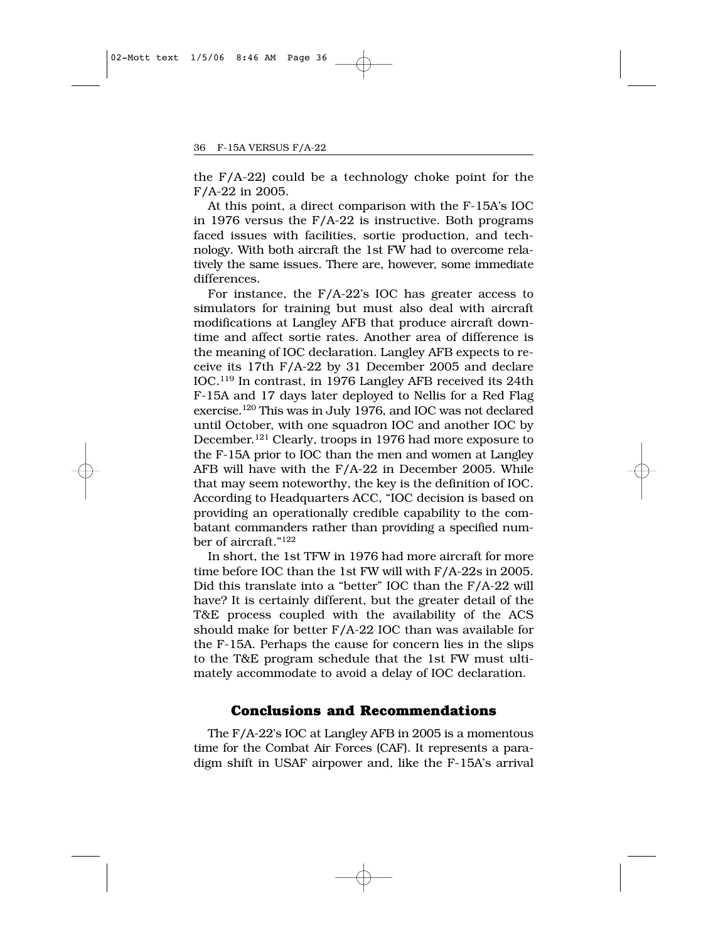the F/A-22) could be a technology choke point for the F/A-22 in 2005.

At this point, a direct comparison with the F-15A's IOC in 1976 versus the F/A-22 is instructive. Both programs faced issues with facilities, sortie production, and technology. With both aircraft the 1st FW had to overcome relatively the same issues. There are, however, some immediate differences.

For instance, the F/A-22's IOC has greater access to simulators for training but must also deal with aircraft modifications at Langley AFB that produce aircraft downtime and affect sortie rates. Another area of difference is the meaning of IOC declaration. Langley AFB expects to receive its 17th F/A-22 by 31 December 2005 and declare IOC.119 In contrast, in 1976 Langley AFB received its 24th F-15A and 17 days later deployed to Nellis for a Red Flag exercise.120 This was in July 1976, and IOC was not declared until October, with one squadron IOC and another IOC by December.121 Clearly, troops in 1976 had more exposure to the F-15A prior to IOC than the men and women at Langley AFB will have with the F/A-22 in December 2005. While that may seem noteworthy, the key is the definition of IOC. According to Headquarters ACC, "IOC decision is based on providing an operationally credible capability to the combatant commanders rather than providing a specified number of aircraft."122

In short, the 1st TFW in 1976 had more aircraft for more time before IOC than the 1st FW will with F/A-22s in 2005. Did this translate into a "better" IOC than the F/A-22 will have? It is certainly different, but the greater detail of the T&E process coupled with the availability of the ACS should make for better F/A-22 IOC than was available for the F-15A. Perhaps the cause for concern lies in the slips to the T&E program schedule that the 1st FW must ultimately accommodate to avoid a delay of IOC declaration.

### **Conclusions and Recommendations**

The F/A-22's IOC at Langley AFB in 2005 is a momentous time for the Combat Air Forces (CAF). It represents a paradigm shift in USAF airpower and, like the F-15A's arrival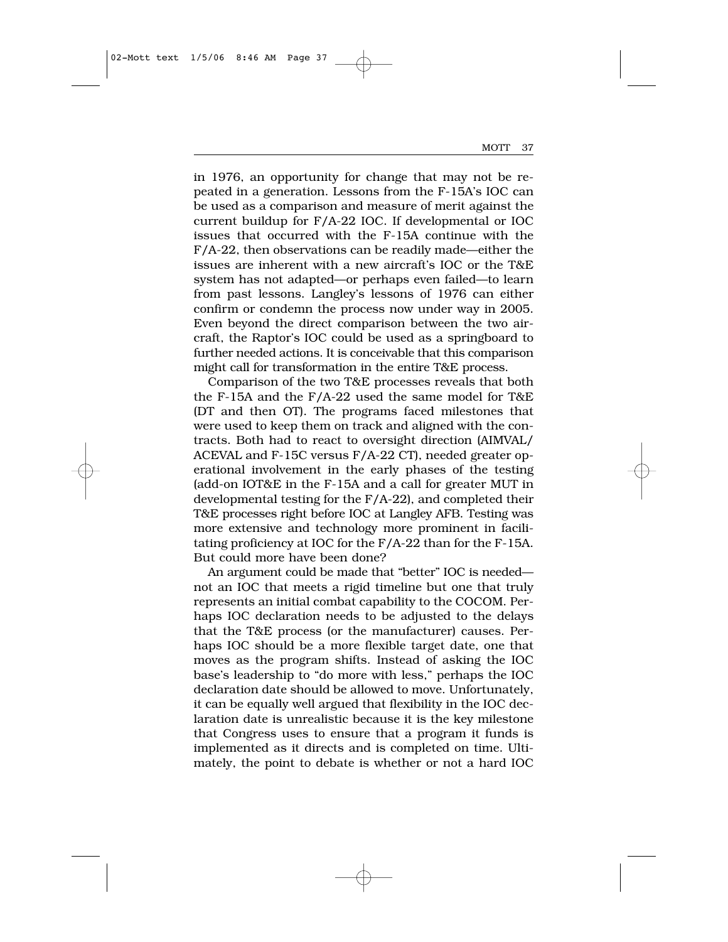in 1976, an opportunity for change that may not be repeated in a generation. Lessons from the F-15A's IOC can be used as a comparison and measure of merit against the current buildup for F/A-22 IOC. If developmental or IOC issues that occurred with the F-15A continue with the F/A-22, then observations can be readily made—either the issues are inherent with a new aircraft's IOC or the T&E system has not adapted—or perhaps even failed—to learn from past lessons. Langley's lessons of 1976 can either confirm or condemn the process now under way in 2005. Even beyond the direct comparison between the two aircraft, the Raptor's IOC could be used as a springboard to further needed actions. It is conceivable that this comparison might call for transformation in the entire T&E process.

Comparison of the two T&E processes reveals that both the F-15A and the F/A-22 used the same model for T&E (DT and then OT). The programs faced milestones that were used to keep them on track and aligned with the contracts. Both had to react to oversight direction (AIMVAL/ ACEVAL and F-15C versus F/A-22 CT), needed greater operational involvement in the early phases of the testing (add-on IOT&E in the F-15A and a call for greater MUT in developmental testing for the F/A-22), and completed their T&E processes right before IOC at Langley AFB. Testing was more extensive and technology more prominent in facilitating proficiency at IOC for the F/A-22 than for the F-15A. But could more have been done?

An argument could be made that "better" IOC is needed not an IOC that meets a rigid timeline but one that truly represents an initial combat capability to the COCOM. Perhaps IOC declaration needs to be adjusted to the delays that the T&E process (or the manufacturer) causes. Perhaps IOC should be a more flexible target date, one that moves as the program shifts. Instead of asking the IOC base's leadership to "do more with less," perhaps the IOC declaration date should be allowed to move. Unfortunately, it can be equally well argued that flexibility in the IOC declaration date is unrealistic because it is the key milestone that Congress uses to ensure that a program it funds is implemented as it directs and is completed on time. Ultimately, the point to debate is whether or not a hard IOC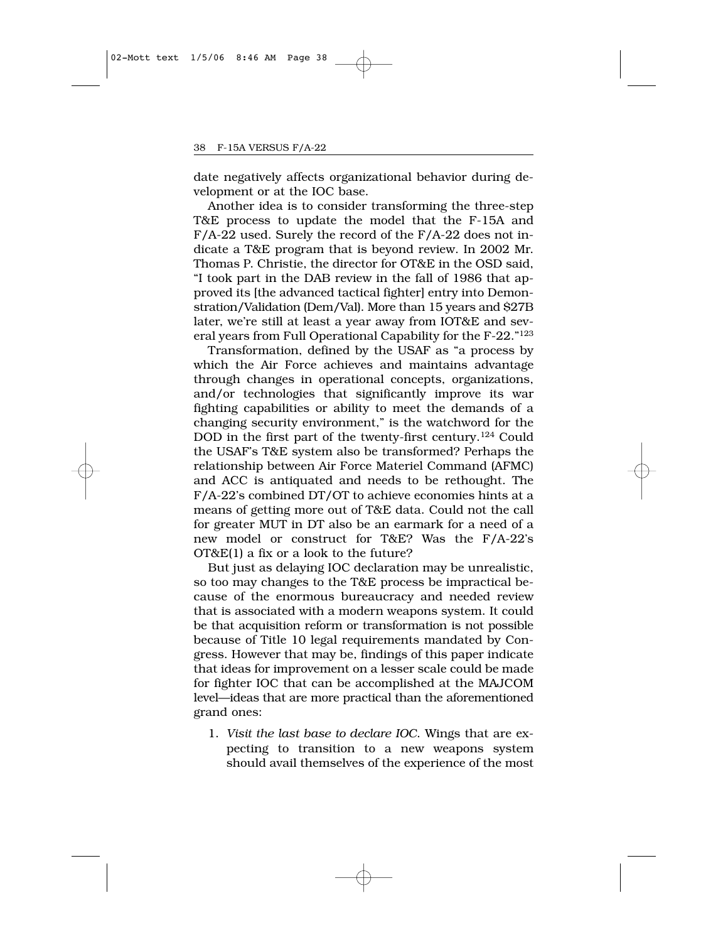date negatively affects organizational behavior during development or at the IOC base.

Another idea is to consider transforming the three-step T&E process to update the model that the F-15A and F/A-22 used. Surely the record of the F/A-22 does not indicate a T&E program that is beyond review. In 2002 Mr. Thomas P. Christie, the director for OT&E in the OSD said, "I took part in the DAB review in the fall of 1986 that approved its [the advanced tactical fighter] entry into Demonstration/Validation (Dem/Val). More than 15 years and \$27B later, we're still at least a year away from IOT&E and several years from Full Operational Capability for the F-22."123

Transformation, defined by the USAF as "a process by which the Air Force achieves and maintains advantage through changes in operational concepts, organizations, and/or technologies that significantly improve its war fighting capabilities or ability to meet the demands of a changing security environment," is the watchword for the DOD in the first part of the twenty-first century.124 Could the USAF's T&E system also be transformed? Perhaps the relationship between Air Force Materiel Command (AFMC) and ACC is antiquated and needs to be rethought. The F/A-22's combined DT/OT to achieve economies hints at a means of getting more out of T&E data. Could not the call for greater MUT in DT also be an earmark for a need of a new model or construct for T&E? Was the F/A-22's OT&E(1) a fix or a look to the future?

But just as delaying IOC declaration may be unrealistic, so too may changes to the T&E process be impractical because of the enormous bureaucracy and needed review that is associated with a modern weapons system. It could be that acquisition reform or transformation is not possible because of Title 10 legal requirements mandated by Congress. However that may be, findings of this paper indicate that ideas for improvement on a lesser scale could be made for fighter IOC that can be accomplished at the MAJCOM level—ideas that are more practical than the aforementioned grand ones:

1. *Visit the last base to declare IOC*. Wings that are expecting to transition to a new weapons system should avail themselves of the experience of the most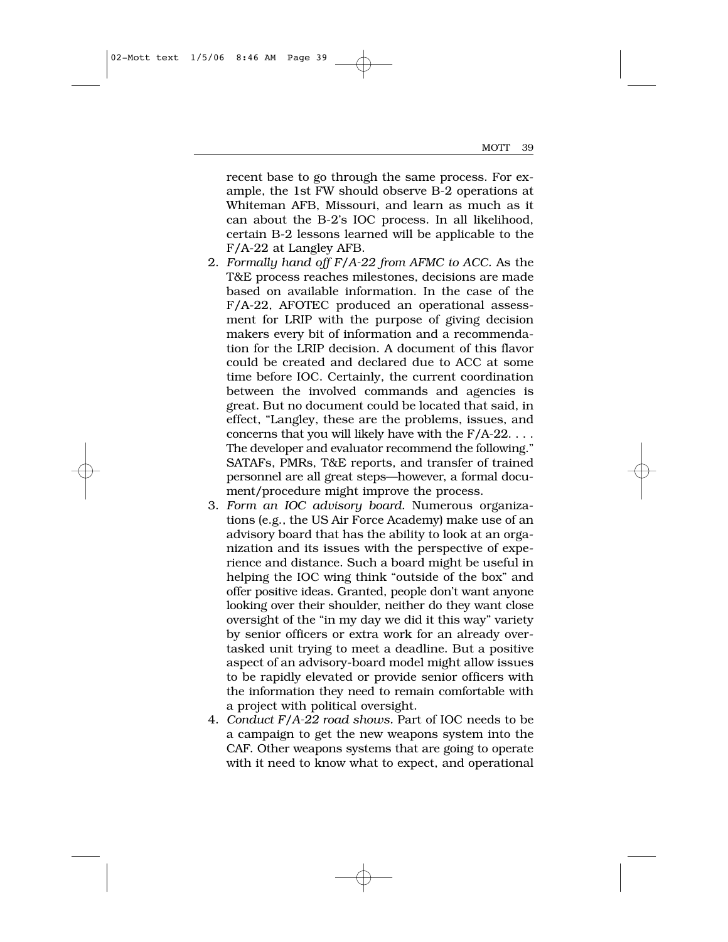recent base to go through the same process. For example, the 1st FW should observe B-2 operations at Whiteman AFB, Missouri, and learn as much as it can about the B-2's IOC process. In all likelihood, certain B-2 lessons learned will be applicable to the F/A-22 at Langley AFB.

- 2. *Formally hand off F/A-22 from AFMC to ACC.* As the T&E process reaches milestones, decisions are made based on available information. In the case of the F/A-22, AFOTEC produced an operational assessment for LRIP with the purpose of giving decision makers every bit of information and a recommendation for the LRIP decision. A document of this flavor could be created and declared due to ACC at some time before IOC. Certainly, the current coordination between the involved commands and agencies is great. But no document could be located that said, in effect, "Langley, these are the problems, issues, and concerns that you will likely have with the F/A-22. . . . The developer and evaluator recommend the following." SATAFs, PMRs, T&E reports, and transfer of trained personnel are all great steps—however, a formal document/procedure might improve the process.
- 3. *Form an IOC advisory board.* Numerous organizations (e.g., the US Air Force Academy) make use of an advisory board that has the ability to look at an organization and its issues with the perspective of experience and distance. Such a board might be useful in helping the IOC wing think "outside of the box" and offer positive ideas. Granted, people don't want anyone looking over their shoulder, neither do they want close oversight of the "in my day we did it this way" variety by senior officers or extra work for an already overtasked unit trying to meet a deadline. But a positive aspect of an advisory-board model might allow issues to be rapidly elevated or provide senior officers with the information they need to remain comfortable with a project with political oversight.
- 4. *Conduct F/A-22 road shows.* Part of IOC needs to be a campaign to get the new weapons system into the CAF. Other weapons systems that are going to operate with it need to know what to expect, and operational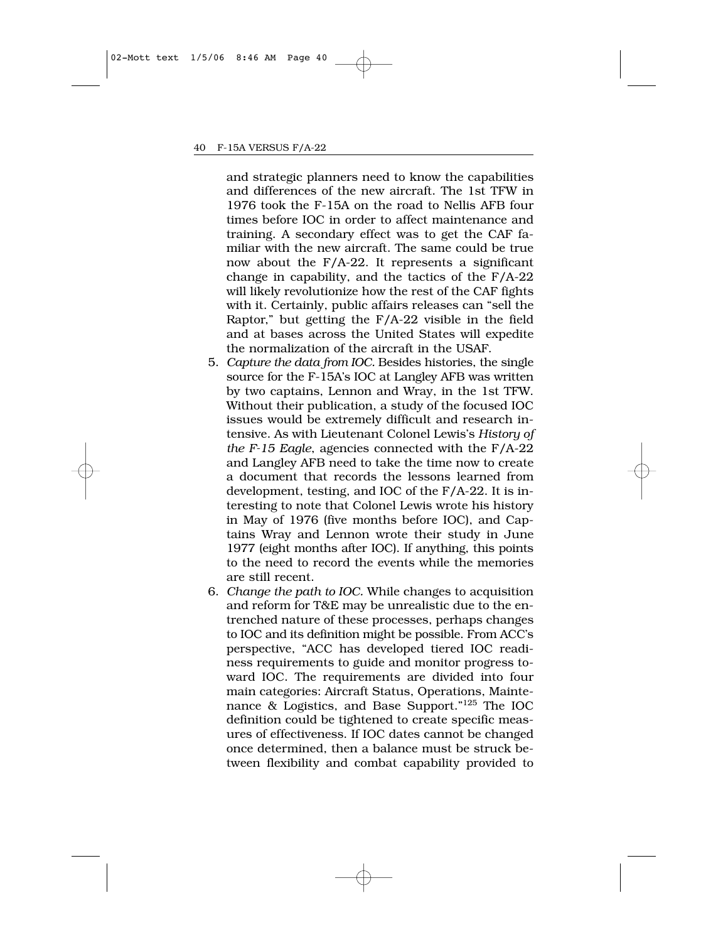and strategic planners need to know the capabilities and differences of the new aircraft. The 1st TFW in 1976 took the F-15A on the road to Nellis AFB four times before IOC in order to affect maintenance and training. A secondary effect was to get the CAF familiar with the new aircraft. The same could be true now about the F/A-22. It represents a significant change in capability, and the tactics of the F/A-22 will likely revolutionize how the rest of the CAF fights with it. Certainly, public affairs releases can "sell the Raptor," but getting the F/A-22 visible in the field and at bases across the United States will expedite the normalization of the aircraft in the USAF.

- 5. *Capture the data from IOC.* Besides histories, the single source for the F-15A's IOC at Langley AFB was written by two captains, Lennon and Wray, in the 1st TFW. Without their publication, a study of the focused IOC issues would be extremely difficult and research intensive. As with Lieutenant Colonel Lewis's *History of the F-15 Eagle*, agencies connected with the F/A-22 and Langley AFB need to take the time now to create a document that records the lessons learned from development, testing, and IOC of the F/A-22. It is interesting to note that Colonel Lewis wrote his history in May of 1976 (five months before IOC), and Captains Wray and Lennon wrote their study in June 1977 (eight months after IOC). If anything, this points to the need to record the events while the memories are still recent.
- 6. *Change the path to IOC.* While changes to acquisition and reform for T&E may be unrealistic due to the entrenched nature of these processes, perhaps changes to IOC and its definition might be possible. From ACC's perspective, "ACC has developed tiered IOC readiness requirements to guide and monitor progress toward IOC. The requirements are divided into four main categories: Aircraft Status, Operations, Maintenance & Logistics, and Base Support."125 The IOC definition could be tightened to create specific measures of effectiveness. If IOC dates cannot be changed once determined, then a balance must be struck between flexibility and combat capability provided to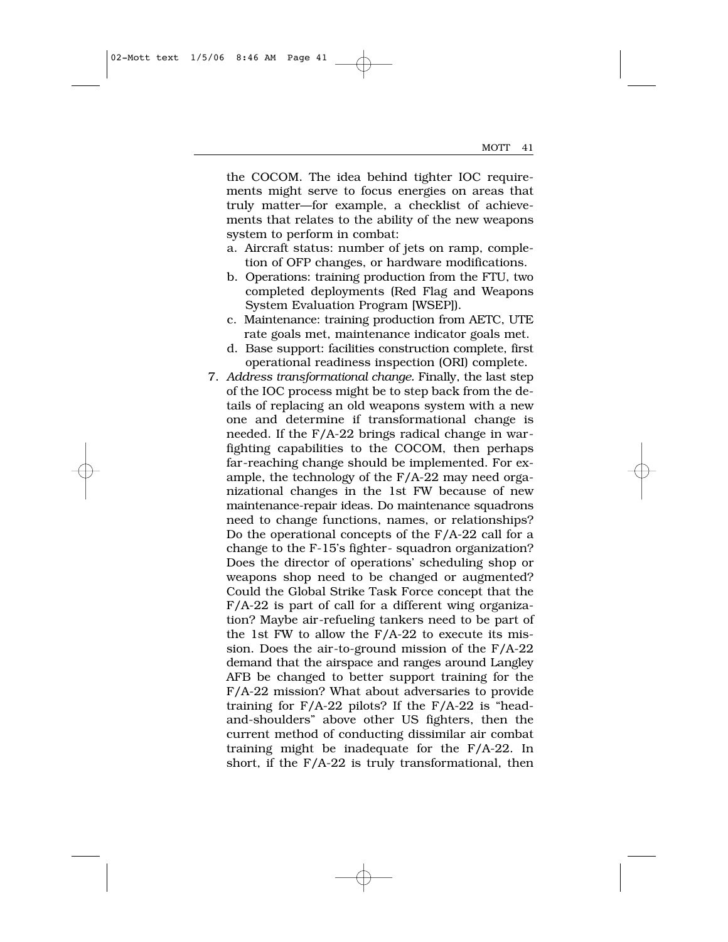the COCOM. The idea behind tighter IOC requirements might serve to focus energies on areas that truly matter—for example, a checklist of achievements that relates to the ability of the new weapons system to perform in combat:

- a. Aircraft status: number of jets on ramp, completion of OFP changes, or hardware modifications.
- b. Operations: training production from the FTU, two completed deployments (Red Flag and Weapons System Evaluation Program [WSEP]).
- c. Maintenance: training production from AETC, UTE rate goals met, maintenance indicator goals met.
- d. Base support: facilities construction complete, first operational readiness inspection (ORI) complete.
- 7. *Address transformational change.* Finally, the last step of the IOC process might be to step back from the details of replacing an old weapons system with a new one and determine if transformational change is needed. If the F/A-22 brings radical change in warfighting capabilities to the COCOM, then perhaps far-reaching change should be implemented. For example, the technology of the F/A-22 may need organizational changes in the 1st FW because of new maintenance-repair ideas. Do maintenance squadrons need to change functions, names, or relationships? Do the operational concepts of the F/A-22 call for a change to the F-15's fighter- squadron organization? Does the director of operations' scheduling shop or weapons shop need to be changed or augmented? Could the Global Strike Task Force concept that the F/A-22 is part of call for a different wing organization? Maybe air-refueling tankers need to be part of the 1st FW to allow the  $F/A-22$  to execute its mission. Does the air-to-ground mission of the F/A-22 demand that the airspace and ranges around Langley AFB be changed to better support training for the F/A-22 mission? What about adversaries to provide training for F/A-22 pilots? If the F/A-22 is "headand-shoulders" above other US fighters, then the current method of conducting dissimilar air combat training might be inadequate for the F/A-22. In short, if the F/A-22 is truly transformational, then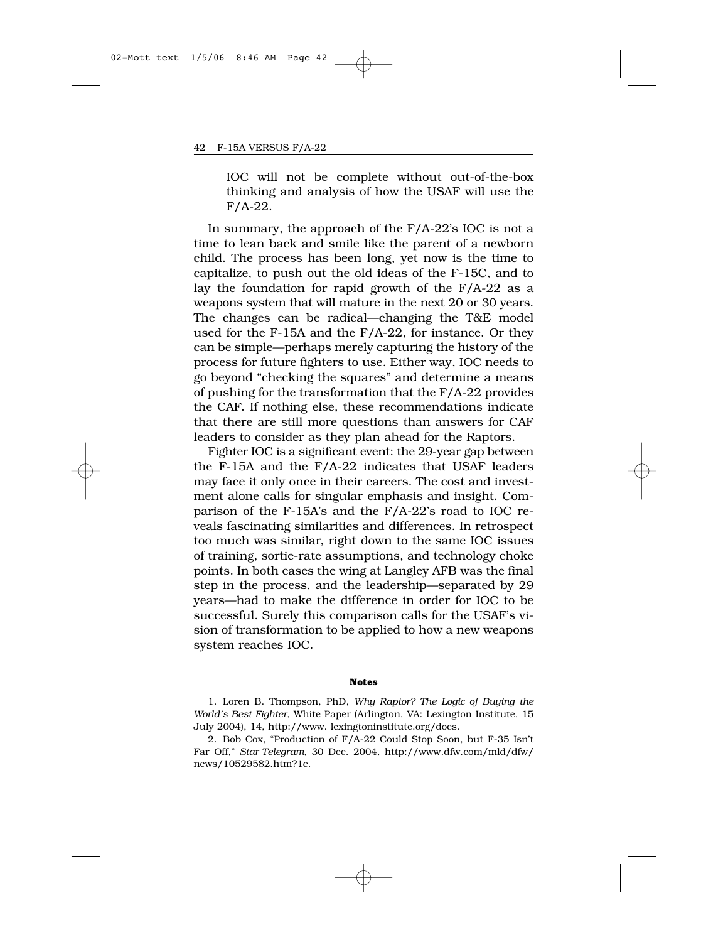IOC will not be complete without out-of-the-box thinking and analysis of how the USAF will use the F/A-22.

In summary, the approach of the  $F/A-22$ 's IOC is not a time to lean back and smile like the parent of a newborn child. The process has been long, yet now is the time to capitalize, to push out the old ideas of the F-15C, and to lay the foundation for rapid growth of the F/A-22 as a weapons system that will mature in the next 20 or 30 years. The changes can be radical—changing the T&E model used for the F-15A and the F/A-22, for instance. Or they can be simple—perhaps merely capturing the history of the process for future fighters to use. Either way, IOC needs to go beyond "checking the squares" and determine a means of pushing for the transformation that the F/A-22 provides the CAF. If nothing else, these recommendations indicate that there are still more questions than answers for CAF leaders to consider as they plan ahead for the Raptors.

Fighter IOC is a significant event: the 29-year gap between the F-15A and the F/A-22 indicates that USAF leaders may face it only once in their careers. The cost and investment alone calls for singular emphasis and insight. Comparison of the F-15A's and the F/A-22's road to IOC reveals fascinating similarities and differences. In retrospect too much was similar, right down to the same IOC issues of training, sortie-rate assumptions, and technology choke points. In both cases the wing at Langley AFB was the final step in the process, and the leadership—separated by 29 years—had to make the difference in order for IOC to be successful. Surely this comparison calls for the USAF's vision of transformation to be applied to how a new weapons system reaches IOC.

#### **Notes**

1. Loren B. Thompson, PhD, *Why Raptor? The Logic of Buying the World's Best Fighter*, White Paper (Arlington, VA: Lexington Institute, 15 July 2004), 14, http://www. lexingtoninstitute.org/docs.

2. Bob Cox, "Production of F/A-22 Could Stop Soon, but F-35 Isn't Far Off," *Star-Telegram*, 30 Dec. 2004, http://www.dfw.com/mld/dfw/ news/10529582.htm?1c.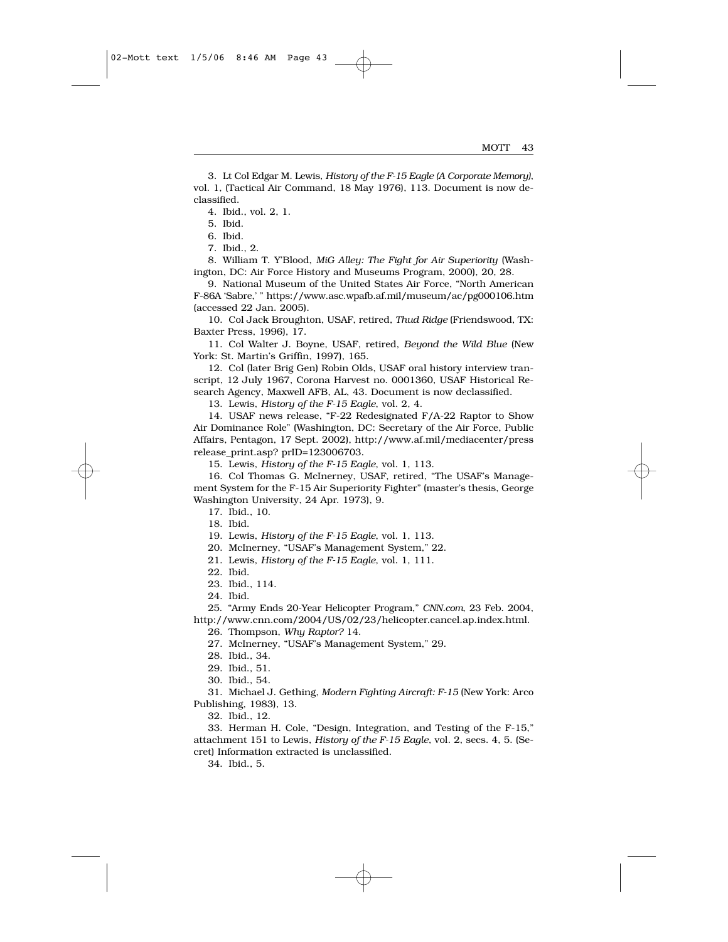3. Lt Col Edgar M. Lewis, *History of the F-15 Eagle (A Corporate Memory)*, vol. 1, (Tactical Air Command, 18 May 1976), 113. Document is now declassified.

4. Ibid., vol. 2, 1.

5. Ibid.

6. Ibid.

7. Ibid., 2.

8. William T. Y'Blood, *MiG Alley: The Fight for Air Superiority* (Washington, DC: Air Force History and Museums Program, 2000), 20, 28.

9. National Museum of the United States Air Force, "North American F-86A 'Sabre,' " https://www.asc.wpafb.af.mil/museum/ac/pg000106.htm (accessed 22 Jan. 2005).

10. Col Jack Broughton, USAF, retired, *Thud Ridge* (Friendswood, TX: Baxter Press, 1996), 17.

11. Col Walter J. Boyne, USAF, retired, *Beyond the Wild Blue* (New York: St. Martin's Griffin, 1997), 165.

12. Col (later Brig Gen) Robin Olds, USAF oral history interview transcript, 12 July 1967, Corona Harvest no. 0001360, USAF Historical Research Agency, Maxwell AFB, AL, 43. Document is now declassified.

13. Lewis, *History of the F-15 Eagle*, vol. 2, 4.

14. USAF news release, "F-22 Redesignated F/A-22 Raptor to Show Air Dominance Role" (Washington, DC: Secretary of the Air Force, Public Affairs, Pentagon, 17 Sept. 2002), http://www.af.mil/mediacenter/press release\_print.asp? prID=123006703.

15. Lewis, *History of the F-15 Eagle*, vol. 1, 113.

16. Col Thomas G. McInerney, USAF, retired, "The USAF's Management System for the F-15 Air Superiority Fighter" (master's thesis, George Washington University, 24 Apr. 1973), 9.

17. Ibid., 10.

18. Ibid.

19. Lewis, *History of the F-15 Eagle*, vol. 1, 113.

20. McInerney, "USAF's Management System," 22.

21. Lewis, *History of the F-15 Eagle*, vol. 1, 111.

22. Ibid.

23. Ibid., 114.

24. Ibid.

25. "Army Ends 20-Year Helicopter Program," *CNN.com*, 23 Feb. 2004, http://www.cnn.com/2004/US/02/23/helicopter.cancel.ap.index.html.

26. Thompson, *Why Raptor?* 14.

27. McInerney, "USAF's Management System," 29.

28. Ibid., 34.

29. Ibid., 51.

30. Ibid., 54.

31. Michael J. Gething, *Modern Fighting Aircraft: F-15* (New York: Arco Publishing, 1983), 13.

32. Ibid., 12.

33. Herman H. Cole, "Design, Integration, and Testing of the F-15," attachment 151 to Lewis, *History of the F-15 Eagle*, vol. 2, secs. 4, 5. (Secret) Information extracted is unclassified.

34. Ibid., 5.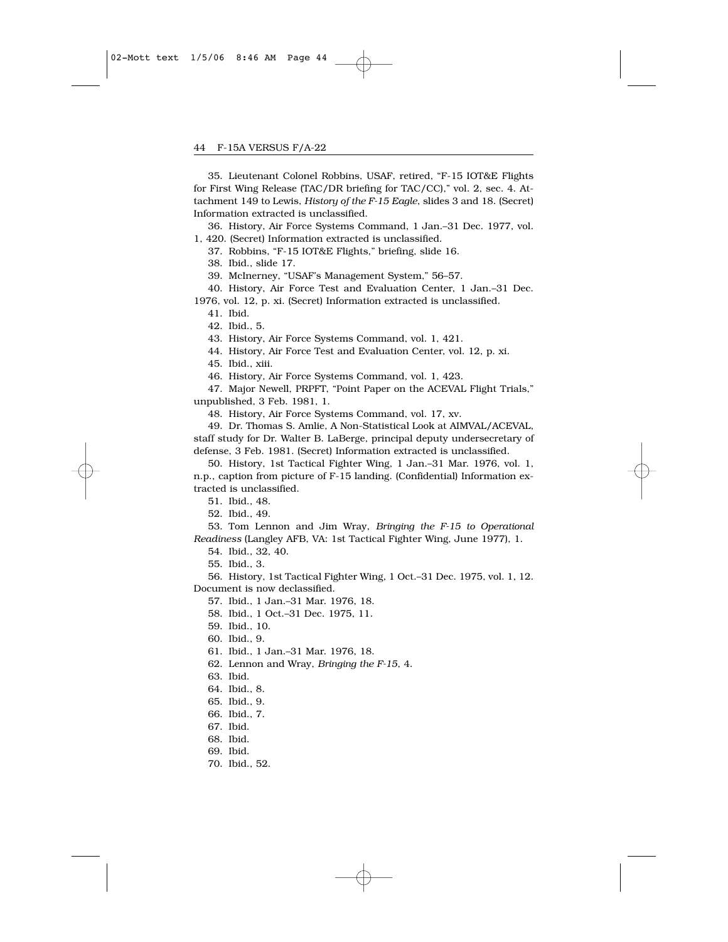35. Lieutenant Colonel Robbins, USAF, retired, "F-15 IOT&E Flights for First Wing Release (TAC/DR briefing for TAC/CC)," vol. 2, sec. 4. Attachment 149 to Lewis, *History of the F-15 Eagle*, slides 3 and 18. (Secret) Information extracted is unclassified.

36. History, Air Force Systems Command, 1 Jan.–31 Dec. 1977, vol. 1, 420. (Secret) Information extracted is unclassified.

37. Robbins, "F-15 IOT&E Flights," briefing, slide 16.

38. Ibid., slide 17.

39. McInerney, "USAF's Management System," 56–57.

40. History, Air Force Test and Evaluation Center, 1 Jan.–31 Dec.

1976, vol. 12, p. xi. (Secret) Information extracted is unclassified.

41. Ibid.

42. Ibid., 5.

43. History, Air Force Systems Command, vol. 1, 421.

44. History, Air Force Test and Evaluation Center, vol. 12, p. xi.

45. Ibid., xiii.

46. History, Air Force Systems Command, vol. 1, 423.

47. Major Newell, PRPFT, "Point Paper on the ACEVAL Flight Trials," unpublished, 3 Feb. 1981, 1.

48. History, Air Force Systems Command, vol. 17, xv.

49. Dr. Thomas S. Amlie, A Non-Statistical Look at AIMVAL/ACEVAL, staff study for Dr. Walter B. LaBerge, principal deputy undersecretary of defense, 3 Feb. 1981. (Secret) Information extracted is unclassified.

50. History, 1st Tactical Fighter Wing, 1 Jan.–31 Mar. 1976, vol. 1, n.p., caption from picture of F-15 landing. (Confidential) Information extracted is unclassified.

51. Ibid., 48.

52. Ibid., 49.

53. Tom Lennon and Jim Wray, *Bringing the F-15 to Operational Readiness* (Langley AFB, VA: 1st Tactical Fighter Wing, June 1977), 1.

54. Ibid., 32, 40.

55. Ibid., 3.

56. History, 1st Tactical Fighter Wing, 1 Oct.–31 Dec. 1975, vol. 1, 12. Document is now declassified.

57. Ibid., 1 Jan.–31 Mar. 1976, 18.

58. Ibid., 1 Oct.–31 Dec. 1975, 11.

59. Ibid., 10.

60. Ibid., 9.

61. Ibid., 1 Jan.–31 Mar. 1976, 18.

62. Lennon and Wray, *Bringing the F-15*, 4.

63. Ibid.

64. Ibid., 8.

65. Ibid., 9.

66. Ibid., 7.

67. Ibid.

68. Ibid.

69. Ibid.

70. Ibid., 52.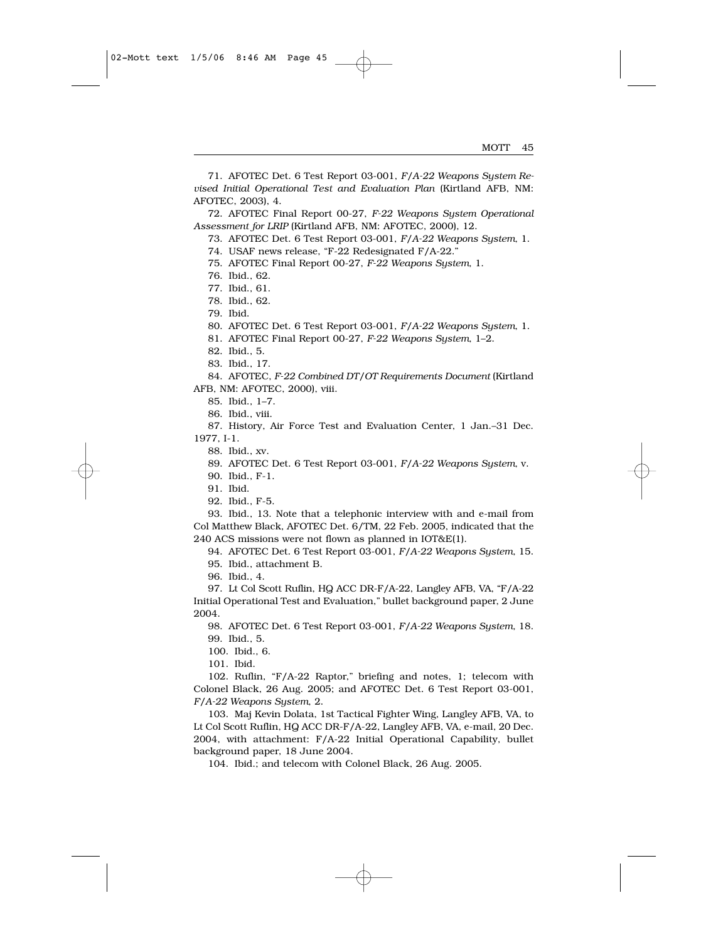71. AFOTEC Det. 6 Test Report 03-001, *F/A-22 Weapons System Revised Initial Operational Test and Evaluation Plan* (Kirtland AFB, NM: AFOTEC, 2003), 4.

72. AFOTEC Final Report 00-27, *F-22 Weapons System Operational Assessment for LRIP* (Kirtland AFB, NM: AFOTEC, 2000), 12.

73. AFOTEC Det. 6 Test Report 03-001, *F/A-22 Weapons System*, 1.

74. USAF news release, "F-22 Redesignated F/A-22."

75. AFOTEC Final Report 00-27, *F-22 Weapons System*, 1.

76. Ibid., 62.

77. Ibid., 61.

78. Ibid., 62.

79. Ibid.

80. AFOTEC Det. 6 Test Report 03-001, *F/A-22 Weapons System*, 1.

81. AFOTEC Final Report 00-27, *F-22 Weapons System*, 1–2.

82. Ibid., 5.

83. Ibid., 17.

84. AFOTEC, *F-22 Combined DT/OT Requirements Document* (Kirtland AFB, NM: AFOTEC, 2000), viii.

85. Ibid., 1–7.

86. Ibid., viii.

87. History, Air Force Test and Evaluation Center, 1 Jan.–31 Dec. 1977, I-1.

88. Ibid., xv.

89. AFOTEC Det. 6 Test Report 03-001, *F/A-22 Weapons System*, v.

90. Ibid., F-1.

91. Ibid.

92. Ibid., F-5.

93. Ibid., 13. Note that a telephonic interview with and e-mail from Col Matthew Black, AFOTEC Det. 6/TM, 22 Feb. 2005, indicated that the 240 ACS missions were not flown as planned in IOT&E(1).

94. AFOTEC Det. 6 Test Report 03-001, *F/A-22 Weapons System*, 15.

95. Ibid., attachment B.

96. Ibid., 4.

97. Lt Col Scott Ruflin, HQ ACC DR-F/A-22, Langley AFB, VA, "F/A-22 Initial Operational Test and Evaluation," bullet background paper, 2 June 2004.

98. AFOTEC Det. 6 Test Report 03-001, *F/A-22 Weapons System*, 18. 99. Ibid., 5.

100. Ibid., 6.

101. Ibid.

102. Ruflin, "F/A-22 Raptor," briefing and notes, 1; telecom with Colonel Black, 26 Aug. 2005; and AFOTEC Det. 6 Test Report 03-001, *F/A-22 Weapons System*, 2.

103. Maj Kevin Dolata, 1st Tactical Fighter Wing, Langley AFB, VA, to Lt Col Scott Ruflin, HQ ACC DR-F/A-22, Langley AFB, VA, e-mail, 20 Dec. 2004, with attachment: F/A-22 Initial Operational Capability, bullet background paper, 18 June 2004.

104. Ibid.; and telecom with Colonel Black, 26 Aug. 2005.